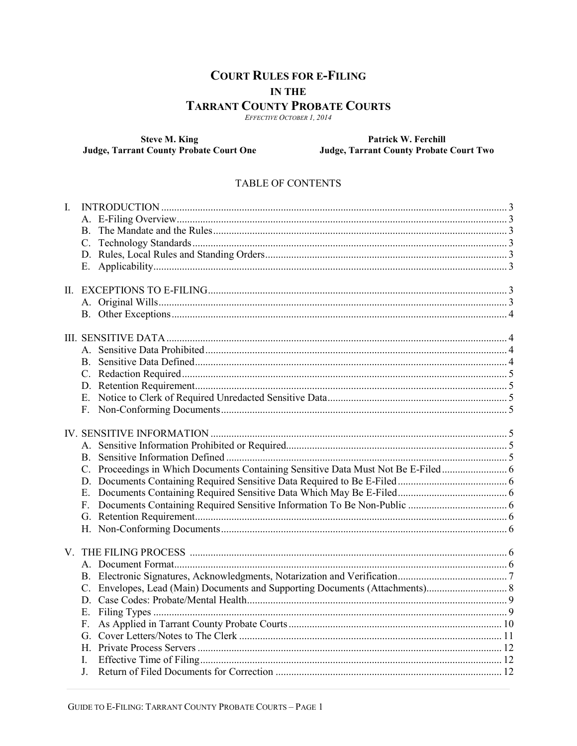# **COURT RULES FOR E-FILING IN THE TARRANT COUNTY PROBATE COURTS**

EFFECTIVE OCTOBER 1, 2014

**Steve M. King<br>Judge, Tarrant County Probate Court One** 

Patrick W. Ferchill Judge, Tarrant County Probate Court Two

#### **TABLE OF CONTENTS**

| $\mathbf{I}$ . |         |  |
|----------------|---------|--|
|                |         |  |
|                |         |  |
|                |         |  |
|                |         |  |
|                |         |  |
|                |         |  |
|                |         |  |
|                |         |  |
|                |         |  |
|                |         |  |
|                |         |  |
|                |         |  |
|                |         |  |
|                |         |  |
|                |         |  |
|                |         |  |
|                |         |  |
|                |         |  |
|                |         |  |
|                |         |  |
|                |         |  |
|                |         |  |
|                |         |  |
|                |         |  |
|                |         |  |
|                |         |  |
|                |         |  |
|                |         |  |
|                |         |  |
|                |         |  |
|                |         |  |
|                |         |  |
|                |         |  |
|                |         |  |
|                | $F_{-}$ |  |
|                |         |  |
|                |         |  |
|                |         |  |
|                |         |  |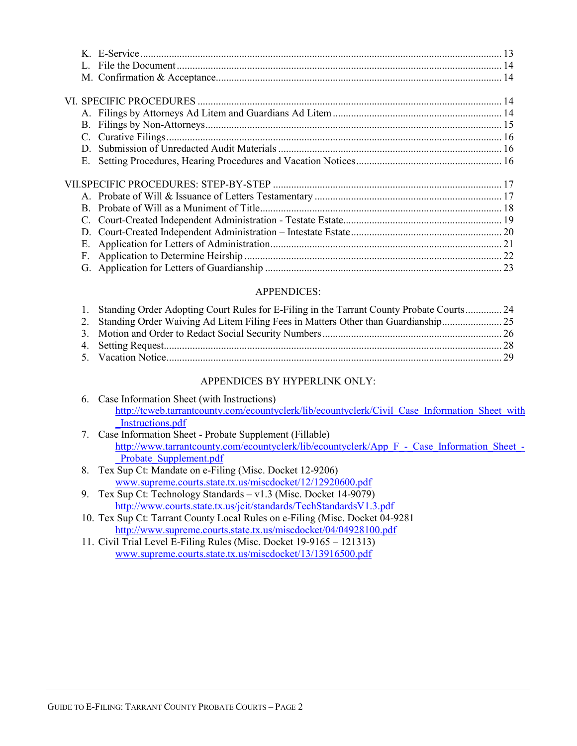| В.<br>C.<br>D.<br>Е. |  |
|----------------------|--|
|                      |  |
| C.<br>D.<br>Е.       |  |
| F.                   |  |

## APPENDICES:

| 1. Standing Order Adopting Court Rules for E-Filing in the Tarrant County Probate Courts 24 |  |
|---------------------------------------------------------------------------------------------|--|
| 2. Standing Order Waiving Ad Litem Filing Fees in Matters Other than Guardianship           |  |
|                                                                                             |  |
|                                                                                             |  |
|                                                                                             |  |

## APPENDICES BY HYPERLINK ONLY:

| 6. Case Information Sheet (with Instructions)                                                  |  |  |
|------------------------------------------------------------------------------------------------|--|--|
| http://teweb.tarrantcounty.com/ecountyclerk/lib/ecountyclerk/Civil Case Information Sheet with |  |  |
| Instructions.pdf                                                                               |  |  |

- 7. Case Information Sheet Probate Supplement (Fillable) http://www.tarrantcounty.com/ecountyclerk/lib/ecountyclerk/App\_F\_-\_Case\_Information\_Sheet\_-Probate Supplement.pdf
- 8. Tex Sup Ct: Mandate on e-Filing (Misc. Docket 12-9206) www.supreme.courts.state.tx.us/miscdocket/12/12920600.pdf
- 9. Tex Sup Ct: Technology Standards v1.3 (Misc. Docket 14-9079) http://www.courts.state.tx.us/jcit/standards/TechStandardsV1.3.pdf
- 10. Tex Sup Ct: Tarrant County Local Rules on e-Filing (Misc. Docket 04-9281 http://www.supreme.courts.state.tx.us/miscdocket/04/04928100.pdf
- 11. Civil Trial Level E-Filing Rules (Misc. Docket 19-9165 121313) www.supreme.courts.state.tx.us/miscdocket/13/13916500.pdf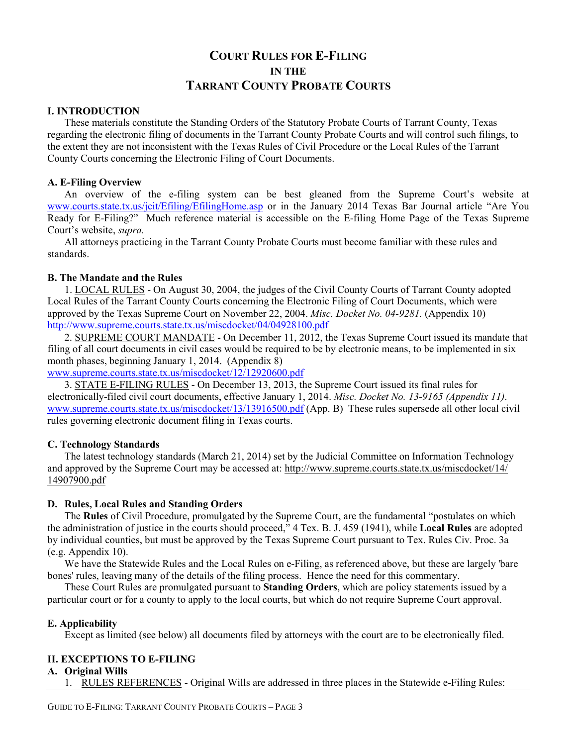# **COURT RULES FOR E-FILING IN THE TARRANT COUNTY PROBATE COURTS**

#### **I. INTRODUCTION**

These materials constitute the Standing Orders of the Statutory Probate Courts of Tarrant County, Texas regarding the electronic filing of documents in the Tarrant County Probate Courts and will control such filings, to the extent they are not inconsistent with the Texas Rules of Civil Procedure or the Local Rules of the Tarrant County Courts concerning the Electronic Filing of Court Documents.

#### **A. E-Filing Overview**

An overview of the e-filing system can be best gleaned from the Supreme Court's website at www.courts.state.tx.us/jcit/Efiling/EfilingHome.asp or in the January 2014 Texas Bar Journal article "Are You Ready for E-Filing?" Much reference material is accessible on the E-filing Home Page of the Texas Supreme Court's website, *supra.*

All attorneys practicing in the Tarrant County Probate Courts must become familiar with these rules and standards.

#### **B. The Mandate and the Rules**

1. LOCAL RULES - On August 30, 2004, the judges of the Civil County Courts of Tarrant County adopted Local Rules of the Tarrant County Courts concerning the Electronic Filing of Court Documents, which were approved by the Texas Supreme Court on November 22, 2004. *Misc. Docket No. 04-9281.* (Appendix 10) http://www.supreme.courts.state.tx.us/miscdocket/04/04928100.pdf

2. SUPREME COURT MANDATE - On December 11, 2012, the Texas Supreme Court issued its mandate that filing of all court documents in civil cases would be required to be by electronic means, to be implemented in six month phases, beginning January 1, 2014. (Appendix 8)

www.supreme.courts.state.tx.us/miscdocket/12/12920600.pdf

3. STATE E-FILING RULES - On December 13, 2013, the Supreme Court issued its final rules for electronically-filed civil court documents, effective January 1, 2014. *Misc. Docket No. 13-9165 (Appendix 11)*. www.supreme.courts.state.tx.us/miscdocket/13/13916500.pdf (App. B)These rules supersede all other local civil rules governing electronic document filing in Texas courts.

#### **C. Technology Standards**

The latest technology standards (March 21, 2014) set by the Judicial Committee on Information Technology and approved by the Supreme Court may be accessed at: http://www.supreme.courts.state.tx.us/miscdocket/14/ 14907900.pdf

#### **D. Rules, Local Rules and Standing Orders**

The **Rules** of Civil Procedure, promulgated by the Supreme Court, are the fundamental "postulates on which the administration of justice in the courts should proceed," 4 Tex. B. J. 459 (1941), while **Local Rules** are adopted by individual counties, but must be approved by the Texas Supreme Court pursuant to Tex. Rules Civ. Proc. 3a (e.g. Appendix 10).

We have the Statewide Rules and the Local Rules on e-Filing, as referenced above, but these are largely 'bare bones' rules, leaving many of the details of the filing process. Hence the need for this commentary.

These Court Rules are promulgated pursuant to **Standing Orders**, which are policy statements issued by a particular court or for a county to apply to the local courts, but which do not require Supreme Court approval.

#### **E. Applicability**

Except as limited (see below) all documents filed by attorneys with the court are to be electronically filed.

## **II. EXCEPTIONS TO E-FILING**

#### **A. Original Wills**

1. RULES REFERENCES - Original Wills are addressed in three places in the Statewide e-Filing Rules: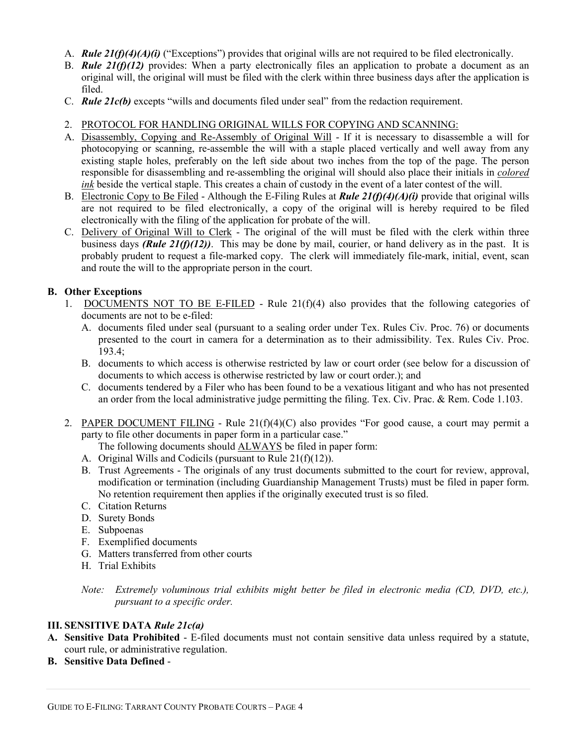- A. *Rule 21(f)(4)(A)(i)* ("Exceptions") provides that original wills are not required to be filed electronically.
- B. *Rule 21(f)(12)* provides: When a party electronically files an application to probate a document as an original will, the original will must be filed with the clerk within three business days after the application is filed.
- C. *Rule 21c(b)* excepts "wills and documents filed under seal" from the redaction requirement.
- 2. PROTOCOL FOR HANDLING ORIGINAL WILLS FOR COPYING AND SCANNING:
- A. Disassembly, Copying and Re-Assembly of Original Will If it is necessary to disassemble a will for photocopying or scanning, re-assemble the will with a staple placed vertically and well away from any existing staple holes, preferably on the left side about two inches from the top of the page. The person responsible for disassembling and re-assembling the original will should also place their initials in *colored ink* beside the vertical staple. This creates a chain of custody in the event of a later contest of the will.
- B. Electronic Copy to Be Filed Although the E-Filing Rules at *Rule 21(f)(4)(A)(i)* provide that original wills are not required to be filed electronically, a copy of the original will is hereby required to be filed electronically with the filing of the application for probate of the will.
- C. Delivery of Original Will to Clerk The original of the will must be filed with the clerk within three business days *(Rule 21(f)(12))*. This may be done by mail, courier, or hand delivery as in the past. It is probably prudent to request a file-marked copy. The clerk will immediately file-mark, initial, event, scan and route the will to the appropriate person in the court.

## **B. Other Exceptions**

- 1. DOCUMENTS NOT TO BE E-FILED Rule  $21(f)(4)$  also provides that the following categories of documents are not to be e-filed:
	- A. documents filed under seal (pursuant to a sealing order under Tex. Rules Civ. Proc. 76) or documents presented to the court in camera for a determination as to their admissibility. Tex. Rules Civ. Proc. 193.4;
	- B. documents to which access is otherwise restricted by law or court order (see below for a discussion of documents to which access is otherwise restricted by law or court order.); and
	- C. documents tendered by a Filer who has been found to be a vexatious litigant and who has not presented an order from the local administrative judge permitting the filing. Tex. Civ. Prac. & Rem. Code 1.103.
- 2. PAPER DOCUMENT FILING Rule 21(f)(4)(C) also provides "For good cause, a court may permit a party to file other documents in paper form in a particular case."

The following documents should ALWAYS be filed in paper form:

- A. Original Wills and Codicils (pursuant to Rule 21(f)(12)).
- B. Trust Agreements The originals of any trust documents submitted to the court for review, approval, modification or termination (including Guardianship Management Trusts) must be filed in paper form. No retention requirement then applies if the originally executed trust is so filed.
- C. Citation Returns
- D. Surety Bonds
- E. Subpoenas
- F. Exemplified documents
- G. Matters transferred from other courts
- H. Trial Exhibits

*Note: Extremely voluminous trial exhibits might better be filed in electronic media (CD, DVD, etc.), pursuant to a specific order.* 

## **III. SENSITIVE DATA** *Rule 21c(a)*

- **A. Sensitive Data Prohibited** E-filed documents must not contain sensitive data unless required by a statute, court rule, or administrative regulation.
- **B. Sensitive Data Defined** -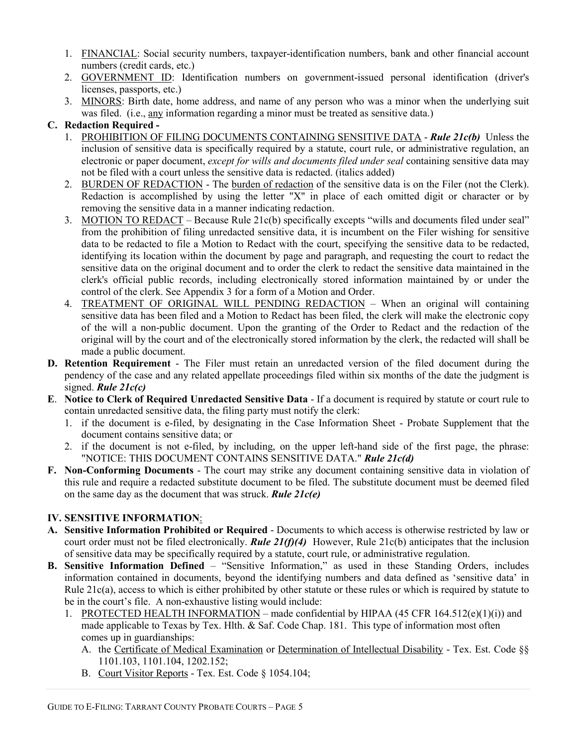- 1. FINANCIAL: Social security numbers, taxpayer-identification numbers, bank and other financial account numbers (credit cards, etc.)
- 2. GOVERNMENT ID: Identification numbers on government-issued personal identification (driver's licenses, passports, etc.)
- 3. MINORS: Birth date, home address, and name of any person who was a minor when the underlying suit was filed. (i.e., any information regarding a minor must be treated as sensitive data.)

## **C. Redaction Required -**

- 1. PROHIBITION OF FILING DOCUMENTS CONTAINING SENSITIVE DATA *Rule 21c(b)* Unless the inclusion of sensitive data is specifically required by a statute, court rule, or administrative regulation, an electronic or paper document, *except for wills and documents filed under seal* containing sensitive data may not be filed with a court unless the sensitive data is redacted. (italics added)
- 2. BURDEN OF REDACTION The burden of redaction of the sensitive data is on the Filer (not the Clerk). Redaction is accomplished by using the letter "X" in place of each omitted digit or character or by removing the sensitive data in a manner indicating redaction.
- 3. MOTION TO REDACT Because Rule 21c(b) specifically excepts "wills and documents filed under seal" from the prohibition of filing unredacted sensitive data, it is incumbent on the Filer wishing for sensitive data to be redacted to file a Motion to Redact with the court, specifying the sensitive data to be redacted, identifying its location within the document by page and paragraph, and requesting the court to redact the sensitive data on the original document and to order the clerk to redact the sensitive data maintained in the clerk's official public records, including electronically stored information maintained by or under the control of the clerk. See Appendix 3 for a form of a Motion and Order.
- 4. TREATMENT OF ORIGINAL WILL PENDING REDACTION When an original will containing sensitive data has been filed and a Motion to Redact has been filed, the clerk will make the electronic copy of the will a non-public document. Upon the granting of the Order to Redact and the redaction of the original will by the court and of the electronically stored information by the clerk, the redacted will shall be made a public document.
- **D. Retention Requirement** The Filer must retain an unredacted version of the filed document during the pendency of the case and any related appellate proceedings filed within six months of the date the judgment is signed. *Rule 21c(c)*
- **E**. **Notice to Clerk of Required Unredacted Sensitive Data** If a document is required by statute or court rule to contain unredacted sensitive data, the filing party must notify the clerk:
	- 1. if the document is e-filed, by designating in the Case Information Sheet Probate Supplement that the document contains sensitive data; or
	- 2. if the document is not e-filed, by including, on the upper left-hand side of the first page, the phrase: "NOTICE: THIS DOCUMENT CONTAINS SENSITIVE DATA." *Rule 21c(d)*
- **F. Non-Conforming Documents** The court may strike any document containing sensitive data in violation of this rule and require a redacted substitute document to be filed. The substitute document must be deemed filed on the same day as the document that was struck. *Rule 21c(e)*

## **IV. SENSITIVE INFORMATION**:

- **A. Sensitive Information Prohibited or Required** Documents to which access is otherwise restricted by law or court order must not be filed electronically. **Rule 21(f)(4)** However, Rule 21c(b) anticipates that the inclusion of sensitive data may be specifically required by a statute, court rule, or administrative regulation.
- **B. Sensitive Information Defined** "Sensitive Information," as used in these Standing Orders, includes information contained in documents, beyond the identifying numbers and data defined as 'sensitive data' in Rule 21c(a), access to which is either prohibited by other statute or these rules or which is required by statute to be in the court's file. A non-exhaustive listing would include:
	- 1. PROTECTED HEALTH INFORMATION made confidential by HIPAA (45 CFR  $164.512(e)(1)(i)$ ) and made applicable to Texas by Tex. Hlth. & Saf. Code Chap. 181. This type of information most often comes up in guardianships:
		- A. the Certificate of Medical Examination or Determination of Intellectual Disability Tex. Est. Code §§ 1101.103, 1101.104, 1202.152;
		- B. Court Visitor Reports Tex. Est. Code § 1054.104;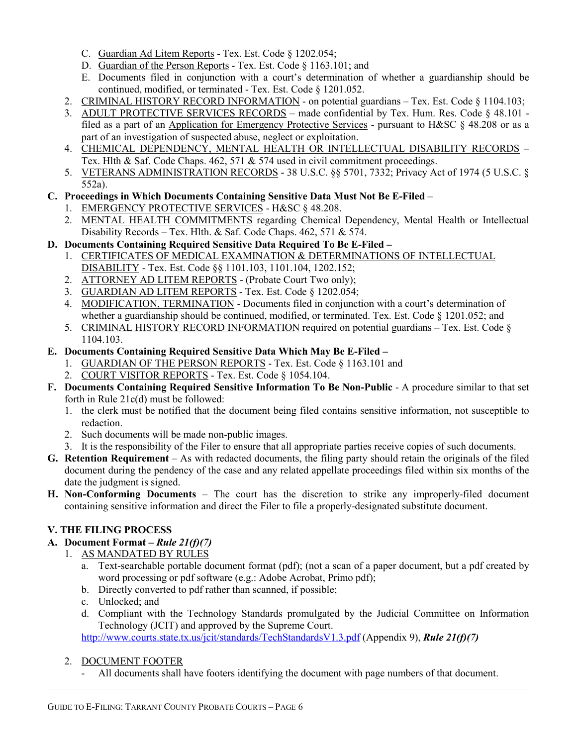- C. Guardian Ad Litem Reports Tex. Est. Code § 1202.054;
- D. Guardian of the Person Reports Tex. Est. Code § 1163.101; and
- E. Documents filed in conjunction with a court's determination of whether a guardianship should be continued, modified, or terminated - Tex. Est. Code § 1201.052.
- 2. CRIMINAL HISTORY RECORD INFORMATION on potential guardians Tex. Est. Code § 1104.103;
- 3. ADULT PROTECTIVE SERVICES RECORDS made confidential by Tex. Hum. Res. Code § 48.101 filed as a part of an Application for Emergency Protective Services - pursuant to H&SC § 48.208 or as a part of an investigation of suspected abuse, neglect or exploitation.
- 4. CHEMICAL DEPENDENCY, MENTAL HEALTH OR INTELLECTUAL DISABILITY RECORDS Tex. Hlth & Saf. Code Chaps. 462, 571 & 574 used in civil commitment proceedings.
- 5. VETERANS ADMINISTRATION RECORDS 38 U.S.C. §§ 5701, 7332; Privacy Act of 1974 (5 U.S.C. § 552a).

## **C. Proceedings in Which Documents Containing Sensitive Data Must Not Be E-Filed** –

- 1. EMERGENCY PROTECTIVE SERVICES H&SC § 48.208.
- 2. MENTAL HEALTH COMMITMENTS regarding Chemical Dependency, Mental Health or Intellectual Disability Records – Tex. Hlth. & Saf. Code Chaps. 462, 571 & 574.

## **D. Documents Containing Required Sensitive Data Required To Be E-Filed –**

- 1. CERTIFICATES OF MEDICAL EXAMINATION & DETERMINATIONS OF INTELLECTUAL DISABILITY - Tex. Est. Code §§ 1101.103, 1101.104, 1202.152;
- 2. ATTORNEY AD LITEM REPORTS (Probate Court Two only);
- 3. GUARDIAN AD LITEM REPORTS Tex. Est. Code § 1202.054;
- 4. MODIFICATION, TERMINATION Documents filed in conjunction with a court's determination of whether a guardianship should be continued, modified, or terminated. Tex. Est. Code § 1201.052; and
- 5. CRIMINAL HISTORY RECORD INFORMATION required on potential guardians Tex. Est. Code § 1104.103.

## **E. Documents Containing Required Sensitive Data Which May Be E-Filed –**

- 1. GUARDIAN OF THE PERSON REPORTS Tex. Est. Code § 1163.101 and
- 2. COURT VISITOR REPORTS Tex. Est. Code § 1054.104.
- **F. Documents Containing Required Sensitive Information To Be Non-Public** A procedure similar to that set forth in Rule 21c(d) must be followed:
	- 1. the clerk must be notified that the document being filed contains sensitive information, not susceptible to redaction.
	- 2. Such documents will be made non-public images.
	- 3. It is the responsibility of the Filer to ensure that all appropriate parties receive copies of such documents.
- **G. Retention Requirement** As with redacted documents, the filing party should retain the originals of the filed document during the pendency of the case and any related appellate proceedings filed within six months of the date the judgment is signed.
- **H. Non-Conforming Documents** The court has the discretion to strike any improperly-filed document containing sensitive information and direct the Filer to file a properly-designated substitute document.

## **V. THE FILING PROCESS**

- **A. Document Format** *Rule 21(f)(7)*
	- 1. AS MANDATED BY RULES
		- a. Text-searchable portable document format (pdf); (not a scan of a paper document, but a pdf created by word processing or pdf software (e.g.: Adobe Acrobat, Primo pdf);
		- b. Directly converted to pdf rather than scanned, if possible;
		- c. Unlocked; and
		- d. Compliant with the Technology Standards promulgated by the Judicial Committee on Information Technology (JCIT) and approved by the Supreme Court.

http://www.courts.state.tx.us/jcit/standards/TechStandardsV1.3.pdf (Appendix 9), *Rule 21(f)(7)*

## 2. DOCUMENT FOOTER

- All documents shall have footers identifying the document with page numbers of that document.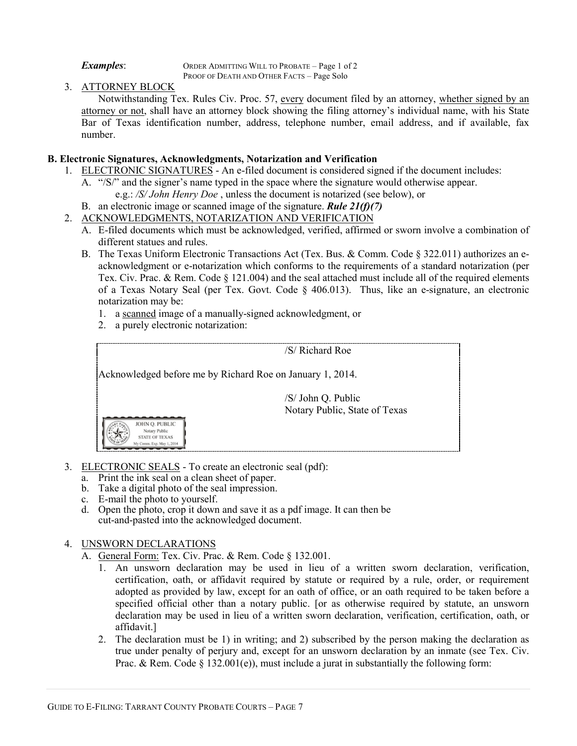*Examples*: ORDER ADMITTING WILL TO PROBATE – Page 1 of 2 PROOF OF DEATH AND OTHER FACTS – Page Solo

## 3. ATTORNEY BLOCK

Notwithstanding Tex. Rules Civ. Proc. 57, every document filed by an attorney, whether signed by an attorney or not, shall have an attorney block showing the filing attorney's individual name, with his State Bar of Texas identification number, address, telephone number, email address, and if available, fax number.

## **B. Electronic Signatures, Acknowledgments, Notarization and Verification**

- 1. ELECTRONIC SIGNATURES An e-filed document is considered signed if the document includes:
	- A. "/S/" and the signer's name typed in the space where the signature would otherwise appear. e.g.: */S/ John Henry Doe* , unless the document is notarized (see below), or
	- B. an electronic image or scanned image of the signature. *Rule 21(f)(7)*
- 2. ACKNOWLEDGMENTS, NOTARIZATION AND VERIFICATION
	- A. E-filed documents which must be acknowledged, verified, affirmed or sworn involve a combination of different statues and rules.
	- B. The Texas Uniform Electronic Transactions Act (Tex. Bus. & Comm. Code § 322.011) authorizes an eacknowledgment or e-notarization which conforms to the requirements of a standard notarization (per Tex. Civ. Prac. & Rem. Code § 121.004) and the seal attached must include all of the required elements of a Texas Notary Seal (per Tex. Govt. Code § 406.013). Thus, like an e-signature, an electronic notarization may be:
		- 1. a scanned image of a manually-signed acknowledgment, or
		- 2. a purely electronic notarization:



- 3. ELECTRONIC SEALS To create an electronic seal (pdf):
	- a. Print the ink seal on a clean sheet of paper.
	- b. Take a digital photo of the seal impression.
	- c. E-mail the photo to yourself.
	- d. Open the photo, crop it down and save it as a pdf image. It can then be cut-and-pasted into the acknowledged document.

## 4. UNSWORN DECLARATIONS

- A. General Form: Tex. Civ. Prac. & Rem. Code § 132.001.
	- 1. An unsworn declaration may be used in lieu of a written sworn declaration, verification, certification, oath, or affidavit required by statute or required by a rule, order, or requirement adopted as provided by law, except for an oath of office, or an oath required to be taken before a specified official other than a notary public. [or as otherwise required by statute, an unsworn declaration may be used in lieu of a written sworn declaration, verification, certification, oath, or affidavit.]
	- 2. The declaration must be 1) in writing; and 2) subscribed by the person making the declaration as true under penalty of perjury and, except for an unsworn declaration by an inmate (see Tex. Civ. Prac. & Rem. Code § 132.001(e)), must include a jurat in substantially the following form: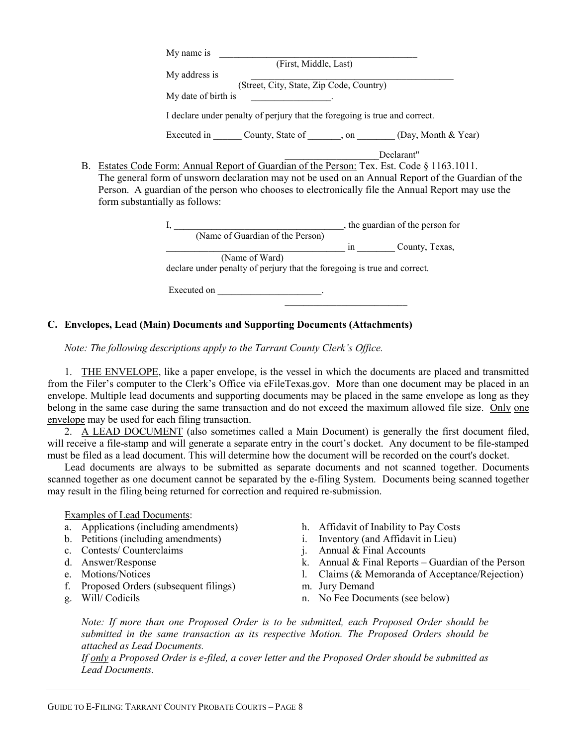|    | My name is                                                                                         |
|----|----------------------------------------------------------------------------------------------------|
|    | (First, Middle, Last)                                                                              |
|    | My address is                                                                                      |
|    | (Street, City, State, Zip Code, Country)                                                           |
|    | My date of birth is<br><b>Contract Contract Contract Contract Contract</b>                         |
|    | I declare under penalty of perjury that the foregoing is true and correct.                         |
|    | Executed in ________ County, State of _______, on ________ (Day, Month & Year)                     |
|    | Declarant"                                                                                         |
| В. | Estates Code Form: Annual Report of Guardian of the Person: Tex. Est. Code § 1163.1011.            |
|    | The general form of unsworn declaration may not be used on an Annual Report of the Guardian of the |
|    | Person. A guardian of the person who chooses to electronically file the Annual Report may use the  |
|    | form substantially as follows:                                                                     |
|    |                                                                                                    |
|    |                                                                                                    |
|    | in County, Texas,                                                                                  |
|    | (Name of Ward)                                                                                     |
|    |                                                                                                    |
|    | declare under penalty of perjury that the foregoing is true and correct.                           |
|    |                                                                                                    |

## **C. Envelopes, Lead (Main) Documents and Supporting Documents (Attachments)**

*Note: The following descriptions apply to the Tarrant County Clerk's Office.* 

1. THE ENVELOPE, like a paper envelope, is the vessel in which the documents are placed and transmitted from the Filer's computer to the Clerk's Office via eFileTexas.gov. More than one document may be placed in an envelope. Multiple lead documents and supporting documents may be placed in the same envelope as long as they belong in the same case during the same transaction and do not exceed the maximum allowed file size. Only one envelope may be used for each filing transaction.

2. A LEAD DOCUMENT (also sometimes called a Main Document) is generally the first document filed, will receive a file-stamp and will generate a separate entry in the court's docket. Any document to be file-stamped must be filed as a lead document. This will determine how the document will be recorded on the court's docket.

Lead documents are always to be submitted as separate documents and not scanned together. Documents scanned together as one document cannot be separated by the e-filing System. Documents being scanned together may result in the filing being returned for correction and required re-submission.

Examples of Lead Documents:

- a. Applications (including amendments) h. Affidavit of Inability to Pay Costs
- 
- 
- 
- 
- f. Proposed Orders (subsequent filings) m. Jury Demand
- 
- 
- b. Petitions (including amendments) i. Inventory (and Affidavit in Lieu)
- c. Contests/ Counterclaims j. Annual & Final Accounts
- d. Answer/Response k. Annual & Final Reports Guardian of the Person
- e. Motions/Notices l. Claims (& Memoranda of Acceptance/Rejection)
	-
	- n. No Fee Documents (see below)

*Note: If more than one Proposed Order is to be submitted, each Proposed Order should be submitted in the same transaction as its respective Motion. The Proposed Orders should be attached as Lead Documents.* 

*If only a Proposed Order is e-filed, a cover letter and the Proposed Order should be submitted as Lead Documents.*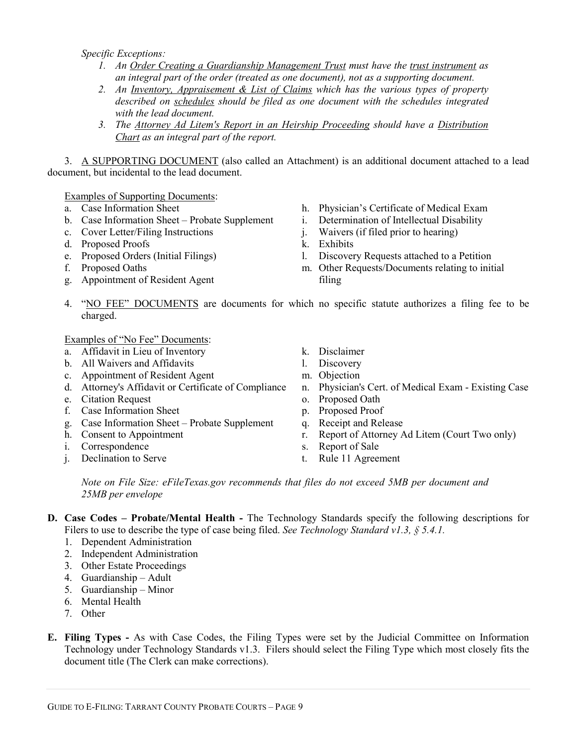*Specific Exceptions:* 

- *1. An Order Creating a Guardianship Management Trust must have the trust instrument as an integral part of the order (treated as one document), not as a supporting document.*
- *2. An Inventory, Appraisement & List of Claims which has the various types of property described on schedules should be filed as one document with the schedules integrated with the lead document.*
- *3. The Attorney Ad Litem's Report in an Heirship Proceeding should have a Distribution Chart as an integral part of the report.*

3. A SUPPORTING DOCUMENT (also called an Attachment) is an additional document attached to a lead document, but incidental to the lead document.

Examples of Supporting Documents:<br>a. Case Information Sheet

- 
- b. Case Information Sheet Probate Supplement i. Determination of Intellectual Disability
- c. Cover Letter/Filing Instructions <br>
d. Proposed Proofs <br>
d. Exhibits
- d. Proposed Proofs
- 
- 
- g. Appointment of Resident Agent filing
- h. Physician's Certificate of Medical Exam
- 
- 
- 
- e. Proposed Orders (Initial Filings) l. Discovery Requests attached to a Petition
- f. Proposed Oaths m. Other Requests/Documents relating to initial
- 4. "NO FEE" DOCUMENTS are documents for which no specific statute authorizes a filing fee to be charged.

Examples of "No Fee" Documents:

- a. Affidavit in Lieu of Inventory k. Disclaimer
- b. All Waivers and Affidavits l. Discovery
- c. Appointment of Resident Agent m. Objection
- 
- e. Citation Request **can be a contract of the Citation Request** of Proposed Oath
- f. Case Information Sheet p. Proposed Proof
- g. Case Information Sheet Probate Supplement q. Receipt and Release
- 
- i. Correspondence s. Report of Sale
- j. Declination to Serve t. Rule 11 Agreement
- 
- 
- 
- d. Attorney's Affidavit or Certificate of Compliance n. Physician's Cert. of Medical Exam Existing Case
	-
	-
	-
- h. Consent to Appointment r. Report of Attorney Ad Litem (Court Two only)
	-
	-

*Note on File Size: eFileTexas.gov recommends that files do not exceed 5MB per document and 25MB per envelope* 

- **D. Case Codes Probate/Mental Health** The Technology Standards specify the following descriptions for Filers to use to describe the type of case being filed. *See Technology Standard v1.3, § 5.4.1.* 
	- 1. Dependent Administration
	- 2. Independent Administration
	- 3. Other Estate Proceedings
	- 4. Guardianship Adult
	- 5. Guardianship Minor
	- 6. Mental Health
	- 7. Other
- **E. Filing Types** As with Case Codes, the Filing Types were set by the Judicial Committee on Information Technology under Technology Standards v1.3. Filers should select the Filing Type which most closely fits the document title (The Clerk can make corrections).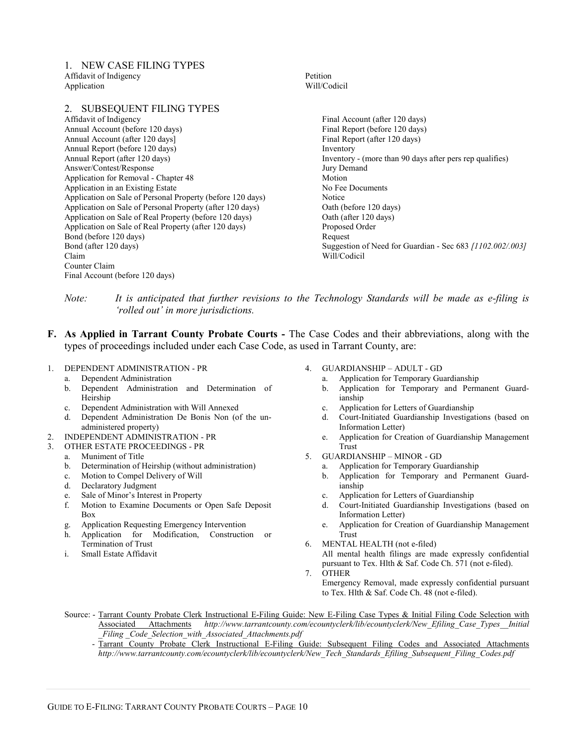1. NEW CASE FILING TYPES Affidavit of Indigency Application

2. SUBSEQUENT FILING TYPES Affidavit of Indigency Annual Account (before 120 days) Annual Account (after 120 days] Annual Report (before 120 days) Annual Report (after 120 days) Answer/Contest/Response Application for Removal - Chapter 48 Application in an Existing Estate Application on Sale of Personal Property (before 120 days) Application on Sale of Personal Property (after 120 days) Application on Sale of Real Property (before 120 days) Application on Sale of Real Property (after 120 days) Bond (before 120 days) Bond (after 120 days) Claim Counter Claim Final Account (before 120 days)

Petition Will/Codicil

> Final Account (after 120 days) Final Report (before 120 days) Final Report (after 120 days) Inventory Inventory - (more than 90 days after pers rep qualifies) Jury Demand Motion No Fee Documents Notice Oath (before 120 days) Oath (after 120 days) Proposed Order Request Suggestion of Need for Guardian - Sec 683 *[1102.002/.003]* Will/Codicil

*Note: It is anticipated that further revisions to the Technology Standards will be made as e-filing is 'rolled out' in more jurisdictions.* 

- **F. As Applied in Tarrant County Probate Courts** The Case Codes and their abbreviations, along with the types of proceedings included under each Case Code, as used in Tarrant County, are:
- 1. DEPENDENT ADMINISTRATION PR
	- a. Dependent Administration
	- b. Dependent Administration and Determination of Heirship
	- c. Dependent Administration with Will Annexed
	- d. Dependent Administration De Bonis Non (of the unadministered property)
- 2. INDEPENDENT ADMINISTRATION PR
- 3. OTHER ESTATE PROCEEDINGS PR
	- a. Muniment of Title
	- b. Determination of Heirship (without administration)
	- c. Motion to Compel Delivery of Will
	- d. Declaratory Judgment
	- e. Sale of Minor's Interest in Property
	- f. Motion to Examine Documents or Open Safe Deposit Box
	- g. Application Requesting Emergency Intervention
	- h. Application for Modification, Construction or Termination of Trust
	- i. Small Estate Affidavit
- 4. GUARDIANSHIP ADULT GD
	- a. Application for Temporary Guardianship
	- b. Application for Temporary and Permanent Guardianship
	- c. Application for Letters of Guardianship
	- d. Court-Initiated Guardianship Investigations (based on Information Letter)
	- e. Application for Creation of Guardianship Management Trust
- 5. GUARDIANSHIP MINOR GD
	- a. Application for Temporary Guardianship
	- b. Application for Temporary and Permanent Guardianship
	- c. Application for Letters of Guardianship
	- d. Court-Initiated Guardianship Investigations (based on Information Letter)
	- e. Application for Creation of Guardianship Management Trust
- 6. MENTAL HEALTH (not e-filed) All mental health filings are made expressly confidential pursuant to Tex. Hlth & Saf. Code Ch. 571 (not e-filed). 7. OTHER
- Emergency Removal, made expressly confidential pursuant to Tex. Hlth & Saf. Code Ch. 48 (not e-filed).

Source: - Tarrant County Probate Clerk Instructional E-Filing Guide: New E-Filing Case Types & Initial Filing Code Selection with Associated Attachments *http://www.tarrantcounty.com/ecountyclerk/lib/ecountyclerk/New\_Efiling\_Case\_Types\_\_Initial \_Filing \_Code\_Selection\_with\_Associated\_Attachments.pdf* 

 - Tarrant County Probate Clerk Instructional E-Filing Guide: Subsequent Filing Codes and Associated Attachments *http://www.tarrantcounty.com/ecountyclerk/lib/ecountyclerk/New\_Tech\_Standards\_Efiling\_Subsequent\_Filing\_Codes.pdf*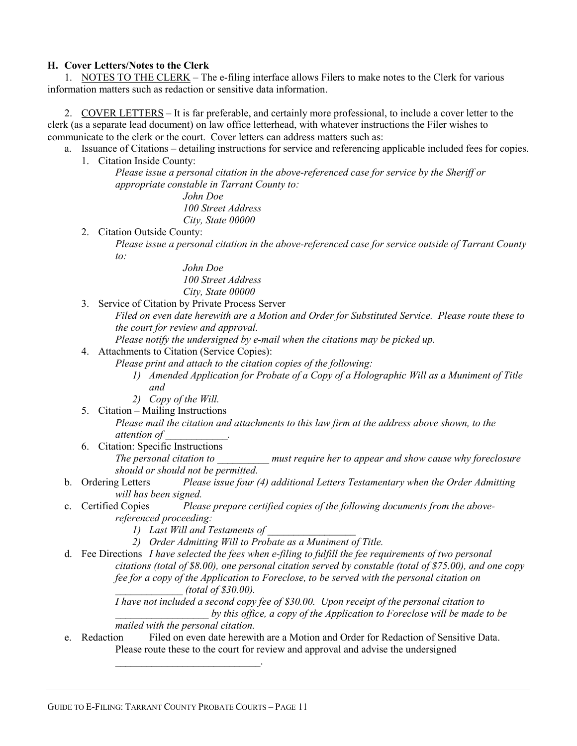#### **H. Cover Letters/Notes to the Clerk**

1. NOTES TO THE CLERK – The e-filing interface allows Filers to make notes to the Clerk for various information matters such as redaction or sensitive data information.

2. COVER LETTERS – It is far preferable, and certainly more professional, to include a cover letter to the clerk (as a separate lead document) on law office letterhead, with whatever instructions the Filer wishes to communicate to the clerk or the court. Cover letters can address matters such as:

- a. Issuance of Citations detailing instructions for service and referencing applicable included fees for copies.
	- 1. Citation Inside County:

*Please issue a personal citation in the above-referenced case for service by the Sheriff or appropriate constable in Tarrant County to:* 

> *John Doe 100 Street Address City, State 00000*

- 2. Citation Outside County:
	- *Please issue a personal citation in the above-referenced case for service outside of Tarrant County to:*

*John Doe 100 Street Address City, State 00000* 

3. Service of Citation by Private Process Server

*Filed on even date herewith are a Motion and Order for Substituted Service. Please route these to the court for review and approval.* 

*Please notify the undersigned by e-mail when the citations may be picked up.* 

4. Attachments to Citation (Service Copies):

*Please print and attach to the citation copies of the following:* 

- *1) Amended Application for Probate of a Copy of a Holographic Will as a Muniment of Title and*
- *2) Copy of the Will.*
- 5. Citation Mailing Instructions

*Please mail the citation and attachments to this law firm at the address above shown, to the attention of \_\_\_\_\_\_\_\_\_\_\_\_.* 

6. Citation: Specific Instructions

*The personal citation to \_\_\_\_\_\_\_\_\_\_ must require her to appear and show cause why foreclosure should or should not be permitted.* 

- b. Ordering Letters *Please issue four (4) additional Letters Testamentary when the Order Admitting will has been signed.*
- c. Certified Copies *Please prepare certified copies of the following documents from the abovereferenced proceeding:* 
	- *1)* Last Will and Testaments of
	- *2) Order Admitting Will to Probate as a Muniment of Title.*
- d. Fee Directions *I have selected the fees when e-filing to fulfill the fee requirements of two personal citations (total of \$8.00), one personal citation served by constable (total of \$75.00), and one copy fee for a copy of the Application to Foreclose, to be served with the personal citation on \_\_\_\_\_\_\_\_\_\_\_\_\_ (total of \$30.00).*

*I have not included a second copy fee of \$30.00. Upon receipt of the personal citation to \_\_\_\_\_\_\_\_\_\_\_\_\_\_\_\_\_\_ by this office, a copy of the Application to Foreclose will be made to be mailed with the personal citation.* 

e. Redaction Filed on even date herewith are a Motion and Order for Redaction of Sensitive Data. Please route these to the court for review and approval and advise the undersigned

 $\overline{\phantom{a}}$  , and the set of the set of the set of the set of the set of the set of the set of the set of the set of the set of the set of the set of the set of the set of the set of the set of the set of the set of the s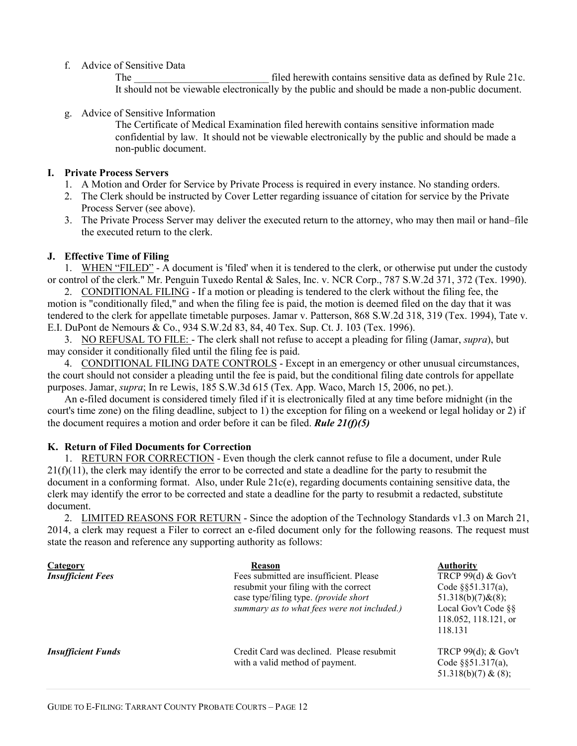#### f. Advice of Sensitive Data

The filed herewith contains sensitive data as defined by Rule 21c. It should not be viewable electronically by the public and should be made a non-public document.

g. Advice of Sensitive Information

The Certificate of Medical Examination filed herewith contains sensitive information made confidential by law. It should not be viewable electronically by the public and should be made a non-public document.

#### **I. Private Process Servers**

- 1. A Motion and Order for Service by Private Process is required in every instance. No standing orders.
- 2. The Clerk should be instructed by Cover Letter regarding issuance of citation for service by the Private Process Server (see above).
- 3. The Private Process Server may deliver the executed return to the attorney, who may then mail or hand–file the executed return to the clerk.

## **J. Effective Time of Filing**

1. WHEN "FILED" - A document is 'filed' when it is tendered to the clerk, or otherwise put under the custody or control of the clerk." Mr. Penguin Tuxedo Rental & Sales, Inc. v. NCR Corp., 787 S.W.2d 371, 372 (Tex. 1990).

2. CONDITIONAL FILING - If a motion or pleading is tendered to the clerk without the filing fee, the motion is "conditionally filed," and when the filing fee is paid, the motion is deemed filed on the day that it was tendered to the clerk for appellate timetable purposes. Jamar v. Patterson, 868 S.W.2d 318, 319 (Tex. 1994), Tate v. E.I. DuPont de Nemours & Co., 934 S.W.2d 83, 84, 40 Tex. Sup. Ct. J. 103 (Tex. 1996).

3. NO REFUSAL TO FILE: - The clerk shall not refuse to accept a pleading for filing (Jamar, *supra*), but may consider it conditionally filed until the filing fee is paid.

4. CONDITIONAL FILING DATE CONTROLS - Except in an emergency or other unusual circumstances, the court should not consider a pleading until the fee is paid, but the conditional filing date controls for appellate purposes. Jamar, *supra*; In re Lewis, 185 S.W.3d 615 (Tex. App. Waco, March 15, 2006, no pet.).

An e-filed document is considered timely filed if it is electronically filed at any time before midnight (in the court's time zone) on the filing deadline, subject to 1) the exception for filing on a weekend or legal holiday or 2) if the document requires a motion and order before it can be filed. *Rule 21(f)(5)*

## **K. Return of Filed Documents for Correction**

1. RETURN FOR CORRECTION - Even though the clerk cannot refuse to file a document, under Rule  $21(f)(11)$ , the clerk may identify the error to be corrected and state a deadline for the party to resubmit the document in a conforming format. Also, under Rule 21c(e), regarding documents containing sensitive data, the clerk may identify the error to be corrected and state a deadline for the party to resubmit a redacted, substitute document.

2. LIMITED REASONS FOR RETURN - Since the adoption of the Technology Standards v1.3 on March 21, 2014, a clerk may request a Filer to correct an e-filed document only for the following reasons. The request must state the reason and reference any supporting authority as follows:

| <b>Category</b><br><b>Insufficient Fees</b> | Reason<br>Fees submitted are insufficient. Please<br>resubmit your filing with the correct<br>case type/filing type. (provide short<br>summary as to what fees were not included.) | <b>Authority</b><br>TRCP 99(d) & Gov't<br>Code $\S$ §51.317(a),<br>$51.318(b)(7)$ & $(8)$ ;<br>Local Gov't Code §§<br>118.052, 118.121, or<br>118.131 |
|---------------------------------------------|------------------------------------------------------------------------------------------------------------------------------------------------------------------------------------|-------------------------------------------------------------------------------------------------------------------------------------------------------|
| <b>Insufficient Funds</b>                   | Credit Card was declined. Please resubmit<br>with a valid method of payment.                                                                                                       | TRCP $99(d)$ ; & Gov't<br>Code $\S$ §51.317(a),<br>51.318(b)(7) & (8);                                                                                |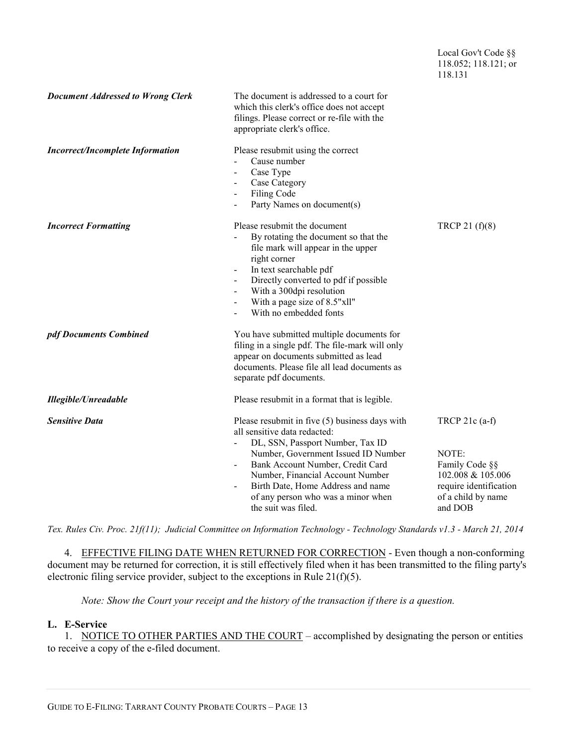|                                          |                                                                                                                                                                                                                                                                                                                                                                              | 118.131                                                                                                                     |
|------------------------------------------|------------------------------------------------------------------------------------------------------------------------------------------------------------------------------------------------------------------------------------------------------------------------------------------------------------------------------------------------------------------------------|-----------------------------------------------------------------------------------------------------------------------------|
| <b>Document Addressed to Wrong Clerk</b> | The document is addressed to a court for<br>which this clerk's office does not accept<br>filings. Please correct or re-file with the<br>appropriate clerk's office.                                                                                                                                                                                                          |                                                                                                                             |
| <b>Incorrect/Incomplete Information</b>  | Please resubmit using the correct<br>Cause number<br>Case Type<br>$\blacksquare$<br>Case Category<br>Filing Code<br>Party Names on document(s)                                                                                                                                                                                                                               |                                                                                                                             |
| <b>Incorrect Formatting</b>              | Please resubmit the document<br>By rotating the document so that the<br>$\frac{1}{2}$<br>file mark will appear in the upper<br>right corner<br>In text searchable pdf<br>$\blacksquare$<br>Directly converted to pdf if possible<br>$\blacksquare$<br>With a 300dpi resolution<br>$\blacksquare$<br>With a page size of 8.5"xll"<br>$\blacksquare$<br>With no embedded fonts | TRCP 21 $(f)(8)$                                                                                                            |
| pdf Documents Combined                   | You have submitted multiple documents for<br>filing in a single pdf. The file-mark will only<br>appear on documents submitted as lead<br>documents. Please file all lead documents as<br>separate pdf documents.                                                                                                                                                             |                                                                                                                             |
| <b>Illegible/Unreadable</b>              | Please resubmit in a format that is legible.                                                                                                                                                                                                                                                                                                                                 |                                                                                                                             |
| <b>Sensitive Data</b>                    | Please resubmit in five (5) business days with<br>all sensitive data redacted:<br>DL, SSN, Passport Number, Tax ID<br>Number, Government Issued ID Number<br>Bank Account Number, Credit Card<br>Number, Financial Account Number<br>Birth Date, Home Address and name<br>$\blacksquare$<br>of any person who was a minor when<br>the suit was filed.                        | TRCP $21c$ (a-f)<br>NOTE:<br>Family Code §§<br>102.008 & 105.006<br>require identification<br>of a child by name<br>and DOB |

Local Gov't Code §§ 118.052; 118.121; or

*Tex. Rules Civ. Proc. 21f(11); Judicial Committee on Information Technology - Technology Standards v1.3 - March 21, 2014* 

4. EFFECTIVE FILING DATE WHEN RETURNED FOR CORRECTION - Even though a non-conforming document may be returned for correction, it is still effectively filed when it has been transmitted to the filing party's electronic filing service provider, subject to the exceptions in Rule  $21(f)(5)$ .

*Note: Show the Court your receipt and the history of the transaction if there is a question.* 

## **L. E-Service**

1. NOTICE TO OTHER PARTIES AND THE COURT – accomplished by designating the person or entities to receive a copy of the e-filed document.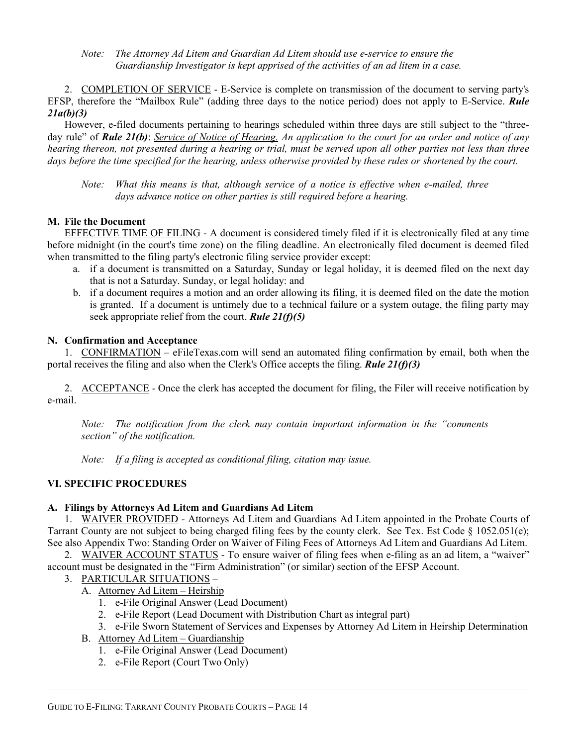*Note: The Attorney Ad Litem and Guardian Ad Litem should use e-service to ensure the Guardianship Investigator is kept apprised of the activities of an ad litem in a case.* 

2. COMPLETION OF SERVICE - E-Service is complete on transmission of the document to serving party's EFSP, therefore the "Mailbox Rule" (adding three days to the notice period) does not apply to E-Service. *Rule 21a(b)(3)* 

However, e-filed documents pertaining to hearings scheduled within three days are still subject to the "threeday rule" of *Rule 21(b)*: *Service of Notice of Hearing. An application to the court for an order and notice of any hearing thereon, not presented during a hearing or trial, must be served upon all other parties not less than three days before the time specified for the hearing, unless otherwise provided by these rules or shortened by the court.* 

*Note: What this means is that, although service of a notice is effective when e-mailed, three days advance notice on other parties is still required before a hearing.* 

#### **M. File the Document**

EFFECTIVE TIME OF FILING - A document is considered timely filed if it is electronically filed at any time before midnight (in the court's time zone) on the filing deadline. An electronically filed document is deemed filed when transmitted to the filing party's electronic filing service provider except:

- a. if a document is transmitted on a Saturday, Sunday or legal holiday, it is deemed filed on the next day that is not a Saturday. Sunday, or legal holiday: and
- b. if a document requires a motion and an order allowing its filing, it is deemed filed on the date the motion is granted. If a document is untimely due to a technical failure or a system outage, the filing party may seek appropriate relief from the court. *Rule 21(f)(5)*

#### **N. Confirmation and Acceptance**

1. CONFIRMATION – eFileTexas.com will send an automated filing confirmation by email, both when the portal receives the filing and also when the Clerk's Office accepts the filing. *Rule 21(f)(3)* 

2. ACCEPTANCE - Once the clerk has accepted the document for filing, the Filer will receive notification by e-mail.

*Note: The notification from the clerk may contain important information in the "comments section" of the notification.* 

*Note: If a filing is accepted as conditional filing, citation may issue.* 

## **VI. SPECIFIC PROCEDURES**

#### **A. Filings by Attorneys Ad Litem and Guardians Ad Litem**

1. WAIVER PROVIDED - Attorneys Ad Litem and Guardians Ad Litem appointed in the Probate Courts of Tarrant County are not subject to being charged filing fees by the county clerk. See Tex. Est Code § 1052.051(e); See also Appendix Two: Standing Order on Waiver of Filing Fees of Attorneys Ad Litem and Guardians Ad Litem.

2. WAIVER ACCOUNT STATUS - To ensure waiver of filing fees when e-filing as an ad litem, a "waiver" account must be designated in the "Firm Administration" (or similar) section of the EFSP Account.

- 3. PARTICULAR SITUATIONS
	- A. Attorney Ad Litem Heirship
		- 1. e-File Original Answer (Lead Document)
		- 2. e-File Report (Lead Document with Distribution Chart as integral part)
		- 3. e-File Sworn Statement of Services and Expenses by Attorney Ad Litem in Heirship Determination
	- B. Attorney Ad Litem Guardianship
		- 1. e-File Original Answer (Lead Document)
		- 2. e-File Report (Court Two Only)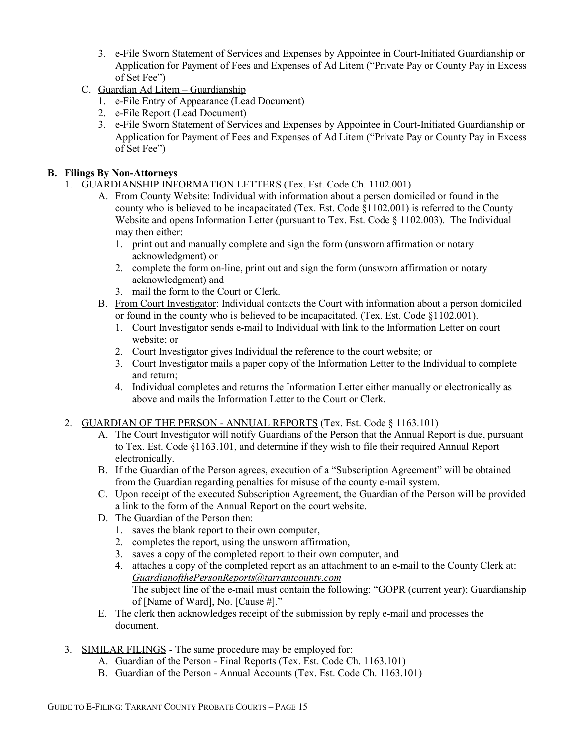- 3. e-File Sworn Statement of Services and Expenses by Appointee in Court-Initiated Guardianship or Application for Payment of Fees and Expenses of Ad Litem ("Private Pay or County Pay in Excess of Set Fee")
- C. Guardian Ad Litem Guardianship
	- 1. e-File Entry of Appearance (Lead Document)
	- 2. e-File Report (Lead Document)
	- 3. e-File Sworn Statement of Services and Expenses by Appointee in Court-Initiated Guardianship or Application for Payment of Fees and Expenses of Ad Litem ("Private Pay or County Pay in Excess of Set Fee")

#### **B. Filings By Non-Attorneys**

- 1. GUARDIANSHIP INFORMATION LETTERS (Tex. Est. Code Ch. 1102.001)
	- A. From County Website: Individual with information about a person domiciled or found in the county who is believed to be incapacitated (Tex. Est. Code §1102.001) is referred to the County Website and opens Information Letter (pursuant to Tex. Est. Code  $\S$  1102.003). The Individual may then either:
		- 1. print out and manually complete and sign the form (unsworn affirmation or notary acknowledgment) or
		- 2. complete the form on-line, print out and sign the form (unsworn affirmation or notary acknowledgment) and
		- 3. mail the form to the Court or Clerk.
	- B. From Court Investigator: Individual contacts the Court with information about a person domiciled or found in the county who is believed to be incapacitated. (Tex. Est. Code §1102.001).
		- 1. Court Investigator sends e-mail to Individual with link to the Information Letter on court website; or
		- 2. Court Investigator gives Individual the reference to the court website; or
		- 3. Court Investigator mails a paper copy of the Information Letter to the Individual to complete and return;
		- 4. Individual completes and returns the Information Letter either manually or electronically as above and mails the Information Letter to the Court or Clerk.

## 2. GUARDIAN OF THE PERSON - ANNUAL REPORTS (Tex. Est. Code § 1163.101)

- A. The Court Investigator will notify Guardians of the Person that the Annual Report is due, pursuant to Tex. Est. Code §1163.101, and determine if they wish to file their required Annual Report electronically.
- B. If the Guardian of the Person agrees, execution of a "Subscription Agreement" will be obtained from the Guardian regarding penalties for misuse of the county e-mail system.
- C. Upon receipt of the executed Subscription Agreement, the Guardian of the Person will be provided a link to the form of the Annual Report on the court website.
- D. The Guardian of the Person then:
	- 1. saves the blank report to their own computer,
	- 2. completes the report, using the unsworn affirmation,
	- 3. saves a copy of the completed report to their own computer, and
	- 4. attaches a copy of the completed report as an attachment to an e-mail to the County Clerk at: *GuardianofthePersonReports@tarrantcounty.com*  The subject line of the e-mail must contain the following: "GOPR (current year); Guardianship of [Name of Ward], No. [Cause #]."
- E. The clerk then acknowledges receipt of the submission by reply e-mail and processes the document.
- 3. SIMILAR FILINGS The same procedure may be employed for:
	- A. Guardian of the Person Final Reports (Tex. Est. Code Ch. 1163.101)
	- B. Guardian of the Person Annual Accounts (Tex. Est. Code Ch. 1163.101)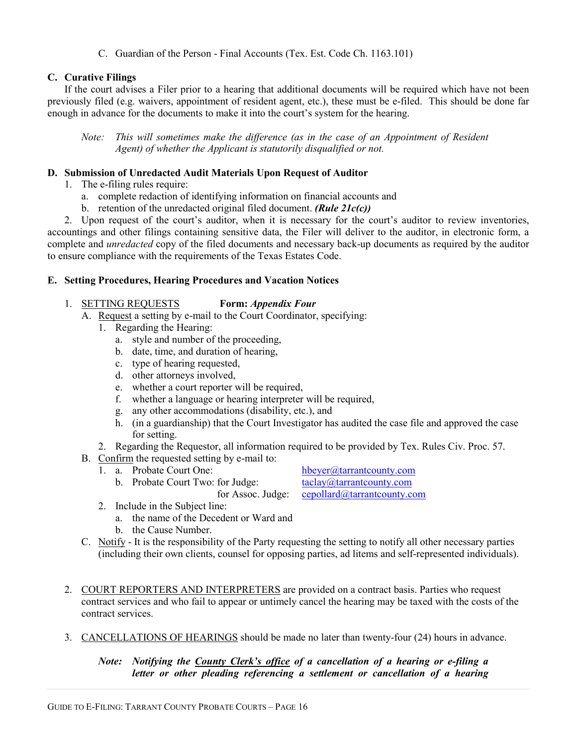C. Guardian of the Person - Final Accounts (Tex. Est. Code Ch. 1163.101)

## **C. Curative Filings**

If the court advises a Filer prior to a hearing that additional documents will be required which have not been previously filed (e.g. waivers, appointment of resident agent, etc.), these must be e-filed. This should be done far enough in advance for the documents to make it into the court's system for the hearing.

*Note:* This will sometimes make the difference (as in the case of an Appointment of Resident *Agent) of whether the Applicant is statutorily disqualified or not.* 

#### **D. Submission of Unredacted Audit Materials Upon Request of Auditor**

- 1. The e-filing rules require:
	- a. complete redaction of identifying information on financial accounts and
	- b. retention of the unredacted original filed document. *(Rule 21c(c))*

2. Upon request of the court's auditor, when it is necessary for the court's auditor to review inventories, accountings and other filings containing sensitive data, the Filer will deliver to the auditor, in electronic form, a complete and *unredacted* copy of the filed documents and necessary back-up documents as required by the auditor to ensure compliance with the requirements of the Texas Estates Code.

#### **E. Setting Procedures, Hearing Procedures and Vacation Notices**

- 1. SETTING REQUESTS **Form:** *Appendix Four*
	- A. Request a setting by e-mail to the Court Coordinator, specifying:
		- 1. Regarding the Hearing:
			- a. style and number of the proceeding,
			- b. date, time, and duration of hearing,
			- c. type of hearing requested,
			- d. other attorneys involved,
			- e. whether a court reporter will be required,
			- f. whether a language or hearing interpreter will be required,
			- g. any other accommodations (disability, etc.), and
			- h. (in a guardianship) that the Court Investigator has audited the case file and approved the case for setting.
		- 2. Regarding the Requestor, all information required to be provided by Tex. Rules Civ. Proc. 57.
	- B. Confirm the requested setting by e-mail to:
		- - b. Probate Court Two: for Judge:

1. a. Probate Court One: hbeyer@tarrantcounty.com<br>b. Probate Court Two: for Judge: taclay@tarrantcounty.com for Assoc. Judge: cepollard@tarrantcounty.com

- 2. Include in the Subject line:
	- a. the name of the Decedent or Ward and
	- b. the Cause Number.
- C. Notify It is the responsibility of the Party requesting the setting to notify all other necessary parties (including their own clients, counsel for opposing parties, ad litems and self-represented individuals).
- 2. COURT REPORTERS AND INTERPRETERS are provided on a contract basis. Parties who request contract services and who fail to appear or untimely cancel the hearing may be taxed with the costs of the contract services.
- 3. CANCELLATIONS OF HEARINGS should be made no later than twenty-four (24) hours in advance.

## *Note: Notifying the County Clerk's office of a cancellation of a hearing or e-filing a letter or other pleading referencing a settlement or cancellation of a hearing*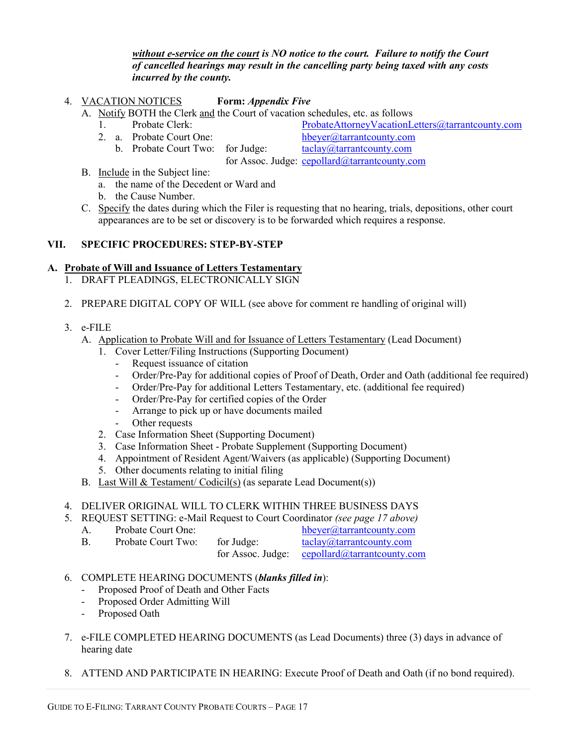#### *without e-service on the court is NO notice to the court. Failure to notify the Court of cancelled hearings may result in the cancelling party being taxed with any costs incurred by the county.*

4. VACATION NOTICES **Form:** *Appendix Five*

A. Notify BOTH the Clerk and the Court of vacation schedules, etc. as follows

- 
- 
- 1. Probate Clerk: ProbateAttorneyVacationLetters@tarrantcounty.com
- 2. a. Probate Court One: hbeyer@tarrantcounty.com b. Probate Court Two: for Judge: taclay@tarrantcounty.com for Assoc. Judge: cepollard@tarrantcounty.com
- B. Include in the Subject line:
	- a. the name of the Decedent or Ward and
	- b. the Cause Number.
- C. Specify the dates during which the Filer is requesting that no hearing, trials, depositions, other court appearances are to be set or discovery is to be forwarded which requires a response.

## **VII. SPECIFIC PROCEDURES: STEP-BY-STEP**

## **A. Probate of Will and Issuance of Letters Testamentary**

- 1. DRAFT PLEADINGS, ELECTRONICALLY SIGN
- 2. PREPARE DIGITAL COPY OF WILL (see above for comment re handling of original will)
- 3. e-FILE
	- A. Application to Probate Will and for Issuance of Letters Testamentary (Lead Document)
		- 1. Cover Letter/Filing Instructions (Supporting Document)
			- Request issuance of citation
			- Order/Pre-Pay for additional copies of Proof of Death, Order and Oath (additional fee required)
			- Order/Pre-Pay for additional Letters Testamentary, etc. (additional fee required)
			- Order/Pre-Pay for certified copies of the Order
			- Arrange to pick up or have documents mailed
			- Other requests
		- 2. Case Information Sheet (Supporting Document)
		- 3. Case Information Sheet Probate Supplement (Supporting Document)
		- 4. Appointment of Resident Agent/Waivers (as applicable) (Supporting Document)
		- 5. Other documents relating to initial filing
	- B. Last Will & Testament/ Codicil(s) (as separate Lead Document(s))
- 4. DELIVER ORIGINAL WILL TO CLERK WITHIN THREE BUSINESS DAYS
- 5. REQUEST SETTING: e-Mail Request to Court Coordinator *(see page 17 above)*

| Probate Court One: |            | hbeyer@tarrantcounty.com                      |
|--------------------|------------|-----------------------------------------------|
| Probate Court Two: | for Judge: | $taclay@\text{tarr}$ and tack-                |
|                    |            | for Assoc. Judge: cepollard@tarrantcounty.com |

## 6. COMPLETE HEARING DOCUMENTS (*blanks filled in*):

- Proposed Proof of Death and Other Facts
- Proposed Order Admitting Will
- Proposed Oath
- 7. e-FILE COMPLETED HEARING DOCUMENTS (as Lead Documents) three (3) days in advance of hearing date
- 8. ATTEND AND PARTICIPATE IN HEARING: Execute Proof of Death and Oath (if no bond required).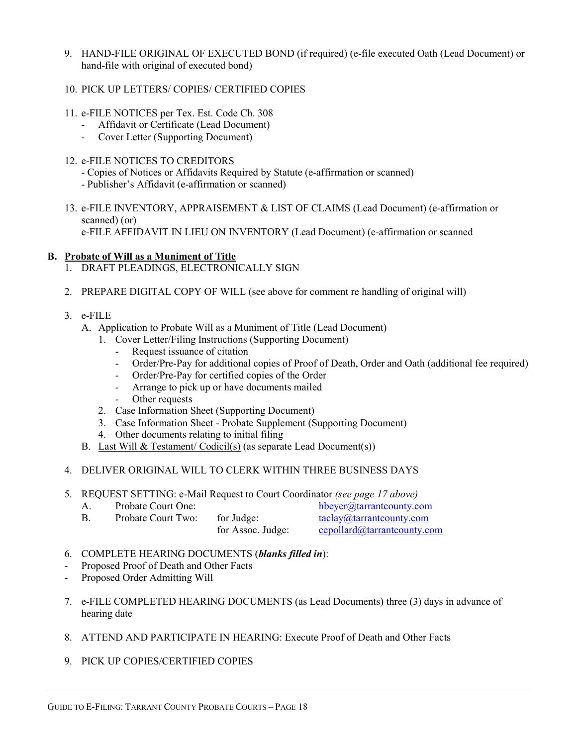- 9. HAND-FILE ORIGINAL OF EXECUTED BOND (if required) (e-file executed Oath (Lead Document) or hand-file with original of executed bond)
- 10. PICK UP LETTERS/ COPIES/ CERTIFIED COPIES
- 11. e-FILE NOTICES per Tex. Est. Code Ch. 308
	- Affidavit or Certificate (Lead Document)
	- Cover Letter (Supporting Document)
- 12. e-FILE NOTICES TO CREDITORS
	- Copies of Notices or Affidavits Required by Statute (e-affirmation or scanned)
	- Publisher's Affidavit (e-affirmation or scanned)
- 13. e-FILE INVENTORY, APPRAISEMENT & LIST OF CLAIMS (Lead Document) (e-affirmation or scanned) (or) e-FILE AFFIDAVIT IN LIEU ON INVENTORY (Lead Document) (e-affirmation or scanned

#### **B. Probate of Will as a Muniment of Title**

- 1. DRAFT PLEADINGS, ELECTRONICALLY SIGN
- 2. PREPARE DIGITAL COPY OF WILL (see above for comment re handling of original will)
- 3. e-FILE
	- A. Application to Probate Will as a Muniment of Title (Lead Document)
		- 1. Cover Letter/Filing Instructions (Supporting Document)
			- Request issuance of citation
			- Order/Pre-Pay for additional copies of Proof of Death, Order and Oath (additional fee required)
			- Order/Pre-Pay for certified copies of the Order
			- Arrange to pick up or have documents mailed
			- Other requests
		- 2. Case Information Sheet (Supporting Document)
		- 3. Case Information Sheet Probate Supplement (Supporting Document)
		- 4. Other documents relating to initial filing
	- B. Last Will & Testament/ Codicil(s) (as separate Lead Document(s))
- 4. DELIVER ORIGINAL WILL TO CLERK WITHIN THREE BUSINESS DAYS
- 5. REQUEST SETTING: e-Mail Request to Court Coordinator *(see page 17 above)*
	- A. Probate Court One: hbeyer@tarrantcounty.com B. Probate Court Two: for Judge: taclay@tarrantcounty.com
		- for Assoc. Judge: cepollard@tarrantcounty.com
- 6. COMPLETE HEARING DOCUMENTS (*blanks filled in*):
- Proposed Proof of Death and Other Facts
- Proposed Order Admitting Will
- 7. e-FILE COMPLETED HEARING DOCUMENTS (as Lead Documents) three (3) days in advance of hearing date
- 8. ATTEND AND PARTICIPATE IN HEARING: Execute Proof of Death and Other Facts
- 9. PICK UP COPIES/CERTIFIED COPIES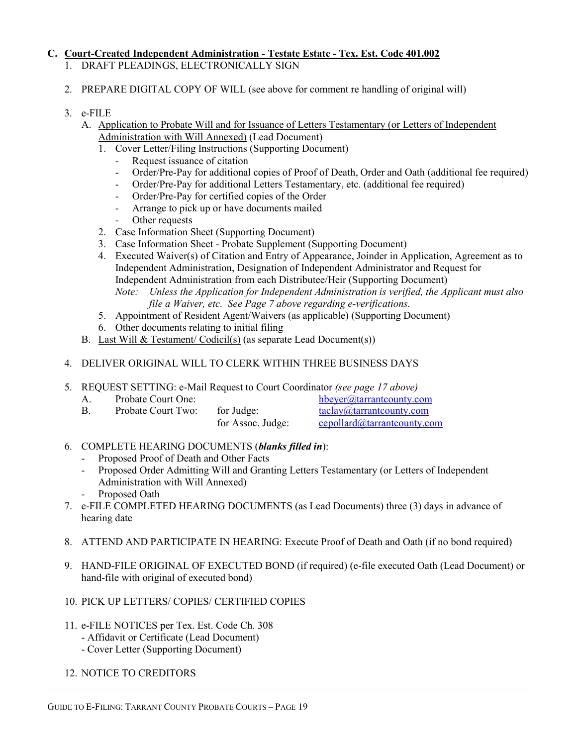## **C. Court-Created Independent Administration - Testate Estate - Tex. Est. Code 401.002**

- 1. DRAFT PLEADINGS, ELECTRONICALLY SIGN
- 2. PREPARE DIGITAL COPY OF WILL (see above for comment re handling of original will)
- 3. e-FILE
	- A. Application to Probate Will and for Issuance of Letters Testamentary (or Letters of Independent Administration with Will Annexed) (Lead Document)
		- 1. Cover Letter/Filing Instructions (Supporting Document)
			- Request issuance of citation
			- Order/Pre-Pay for additional copies of Proof of Death, Order and Oath (additional fee required)
			- Order/Pre-Pay for additional Letters Testamentary, etc. (additional fee required)
			- Order/Pre-Pay for certified copies of the Order
			- Arrange to pick up or have documents mailed
			- Other requests
		- 2. Case Information Sheet (Supporting Document)
		- 3. Case Information Sheet Probate Supplement (Supporting Document)
		- 4. Executed Waiver(s) of Citation and Entry of Appearance, Joinder in Application, Agreement as to Independent Administration, Designation of Independent Administrator and Request for Independent Administration from each Distributee/Heir (Supporting Document) *Note: Unless the Application for Independent Administration is verified, the Applicant must also file a Waiver, etc. See Page 7 above regarding e-verifications.*
		- 5. Appointment of Resident Agent/Waivers (as applicable) (Supporting Document)
		- 6. Other documents relating to initial filing
	- B. Last Will & Testament/ Codicil(s) (as separate Lead Document(s))
- 4. DELIVER ORIGINAL WILL TO CLERK WITHIN THREE BUSINESS DAYS
- 5. REQUEST SETTING: e-Mail Request to Court Coordinator *(see page 17 above)*
	- A. Probate Court One: hbeyer@tarrantcounty.com
	- B. Probate Court Two: for Judge: taclay@tarrantcounty.com

for Assoc. Judge: cepollard@tarrantcounty.com

- 6. COMPLETE HEARING DOCUMENTS (*blanks filled in*):
	- Proposed Proof of Death and Other Facts
	- Proposed Order Admitting Will and Granting Letters Testamentary (or Letters of Independent Administration with Will Annexed)
	- Proposed Oath
- 7. e-FILE COMPLETED HEARING DOCUMENTS (as Lead Documents) three (3) days in advance of hearing date
- 8. ATTEND AND PARTICIPATE IN HEARING: Execute Proof of Death and Oath (if no bond required)
- 9. HAND-FILE ORIGINAL OF EXECUTED BOND (if required) (e-file executed Oath (Lead Document) or hand-file with original of executed bond)
- 10. PICK UP LETTERS/ COPIES/ CERTIFIED COPIES
- 11. e-FILE NOTICES per Tex. Est. Code Ch. 308
	- Affidavit or Certificate (Lead Document)
	- Cover Letter (Supporting Document)
- 12. NOTICE TO CREDITORS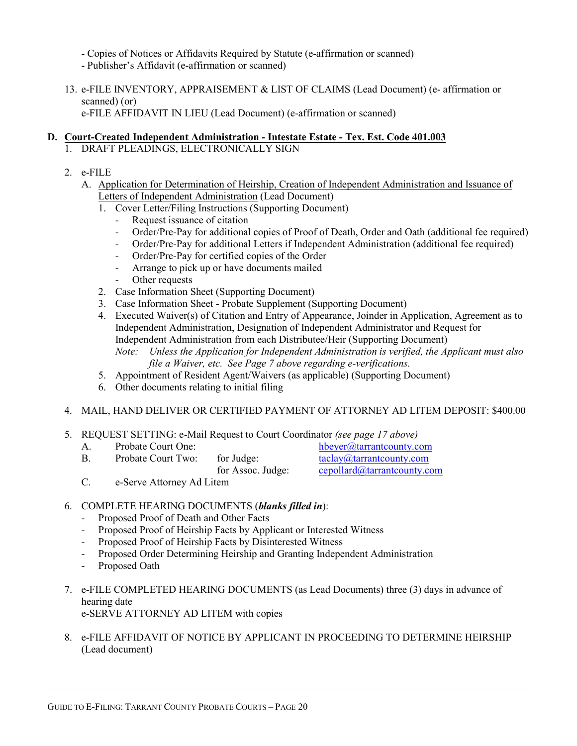- Copies of Notices or Affidavits Required by Statute (e-affirmation or scanned)

- Publisher's Affidavit (e-affirmation or scanned)

13. e-FILE INVENTORY, APPRAISEMENT & LIST OF CLAIMS (Lead Document) (e- affirmation or scanned) (or) e-FILE AFFIDAVIT IN LIEU (Lead Document) (e-affirmation or scanned)

## **D. Court-Created Independent Administration - Intestate Estate - Tex. Est. Code 401.003**

- 1. DRAFT PLEADINGS, ELECTRONICALLY SIGN
- 2. e-FILE
	- A. Application for Determination of Heirship, Creation of Independent Administration and Issuance of Letters of Independent Administration (Lead Document)
		- 1. Cover Letter/Filing Instructions (Supporting Document)
			- Request issuance of citation
			- Order/Pre-Pay for additional copies of Proof of Death, Order and Oath (additional fee required)
			- Order/Pre-Pay for additional Letters if Independent Administration (additional fee required)
			- Order/Pre-Pay for certified copies of the Order
			- Arrange to pick up or have documents mailed
			- Other requests
		- 2. Case Information Sheet (Supporting Document)
		- 3. Case Information Sheet Probate Supplement (Supporting Document)
		- 4. Executed Waiver(s) of Citation and Entry of Appearance, Joinder in Application, Agreement as to Independent Administration, Designation of Independent Administrator and Request for Independent Administration from each Distributee/Heir (Supporting Document) *Note: Unless the Application for Independent Administration is verified, the Applicant must also file a Waiver, etc. See Page 7 above regarding e-verifications.*
		- 5. Appointment of Resident Agent/Waivers (as applicable) (Supporting Document)
		- 6. Other documents relating to initial filing
- 4. MAIL, HAND DELIVER OR CERTIFIED PAYMENT OF ATTORNEY AD LITEM DEPOSIT: \$400.00
- 5. REQUEST SETTING: e-Mail Request to Court Coordinator *(see page 17 above)*
	- A. Probate Court One: hbeyer@tarrantcounty.com
	- B. Probate Court Two: for Judge: taclay@tarrantcounty.com
- - for Assoc. Judge: cepollard@tarrantcounty.com<br>
	C. e-Serve Attorney Ad Litem e-Serve Attorney Ad Litem
- 6. COMPLETE HEARING DOCUMENTS (*blanks filled in*):
	- Proposed Proof of Death and Other Facts
	- Proposed Proof of Heirship Facts by Applicant or Interested Witness
	- Proposed Proof of Heirship Facts by Disinterested Witness
	- Proposed Order Determining Heirship and Granting Independent Administration
	- Proposed Oath
- 7. e-FILE COMPLETED HEARING DOCUMENTS (as Lead Documents) three (3) days in advance of hearing date e-SERVE ATTORNEY AD LITEM with copies
- 8. e-FILE AFFIDAVIT OF NOTICE BY APPLICANT IN PROCEEDING TO DETERMINE HEIRSHIP (Lead document)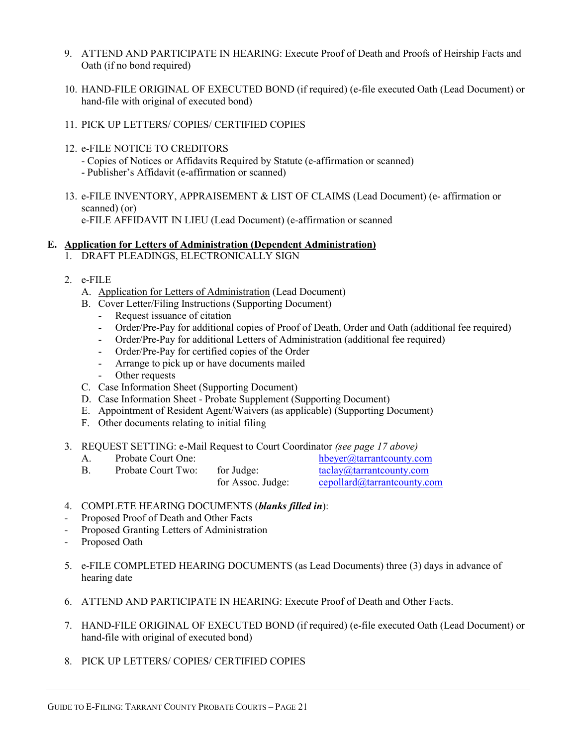- 9. ATTEND AND PARTICIPATE IN HEARING: Execute Proof of Death and Proofs of Heirship Facts and Oath (if no bond required)
- 10. HAND-FILE ORIGINAL OF EXECUTED BOND (if required) (e-file executed Oath (Lead Document) or hand-file with original of executed bond)
- 11. PICK UP LETTERS/ COPIES/ CERTIFIED COPIES
- 12. e-FILE NOTICE TO CREDITORS
	- Copies of Notices or Affidavits Required by Statute (e-affirmation or scanned)
	- Publisher's Affidavit (e-affirmation or scanned)
- 13. e-FILE INVENTORY, APPRAISEMENT & LIST OF CLAIMS (Lead Document) (e- affirmation or scanned) (or) e-FILE AFFIDAVIT IN LIEU (Lead Document) (e-affirmation or scanned

#### **E. Application for Letters of Administration (Dependent Administration)**

- 1. DRAFT PLEADINGS, ELECTRONICALLY SIGN
- 2. e-FILE
	- A. Application for Letters of Administration (Lead Document)
	- B. Cover Letter/Filing Instructions (Supporting Document)
		- Request issuance of citation
		- Order/Pre-Pay for additional copies of Proof of Death, Order and Oath (additional fee required)
		- Order/Pre-Pay for additional Letters of Administration (additional fee required)
		- Order/Pre-Pay for certified copies of the Order
		- Arrange to pick up or have documents mailed
		- Other requests
	- C. Case Information Sheet (Supporting Document)
	- D. Case Information Sheet Probate Supplement (Supporting Document)
	- E. Appointment of Resident Agent/Waivers (as applicable) (Supporting Document)
	- F. Other documents relating to initial filing
- 3. REQUEST SETTING: e-Mail Request to Court Coordinator *(see page 17 above)*

| Probate Court One: |                   | hbeyer@tarrantcounty.com             |
|--------------------|-------------------|--------------------------------------|
| Probate Court Two: | for Judge:        | taclay@tarrantcounty.com             |
|                    | for Assoc. Judge: | $cepollard@\text{tarrantcounty.com}$ |

- 4. COMPLETE HEARING DOCUMENTS (*blanks filled in*):
- Proposed Proof of Death and Other Facts
- Proposed Granting Letters of Administration
- Proposed Oath
- 5. e-FILE COMPLETED HEARING DOCUMENTS (as Lead Documents) three (3) days in advance of hearing date
- 6. ATTEND AND PARTICIPATE IN HEARING: Execute Proof of Death and Other Facts.
- 7. HAND-FILE ORIGINAL OF EXECUTED BOND (if required) (e-file executed Oath (Lead Document) or hand-file with original of executed bond)
- 8. PICK UP LETTERS/ COPIES/ CERTIFIED COPIES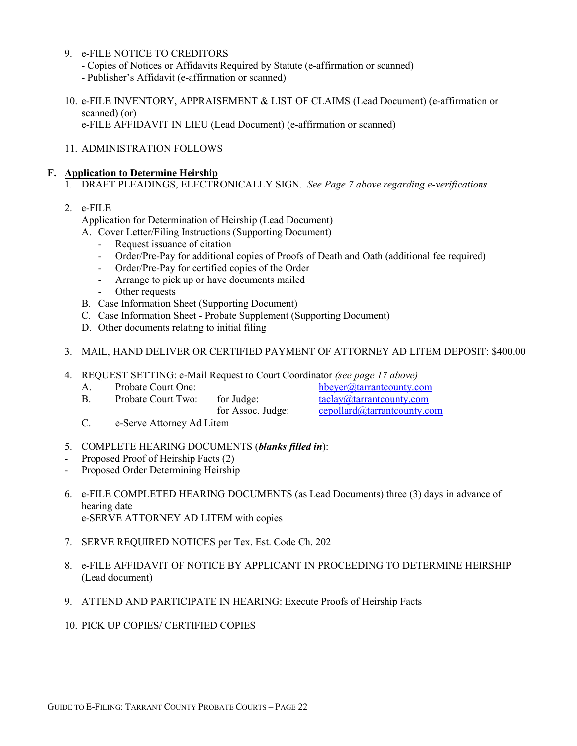#### 9. e-FILE NOTICE TO CREDITORS

- Copies of Notices or Affidavits Required by Statute (e-affirmation or scanned)
- Publisher's Affidavit (e-affirmation or scanned)
- 10. e-FILE INVENTORY, APPRAISEMENT & LIST OF CLAIMS (Lead Document) (e-affirmation or scanned) (or) e-FILE AFFIDAVIT IN LIEU (Lead Document) (e-affirmation or scanned)

11. ADMINISTRATION FOLLOWS

#### **F. Application to Determine Heirship**

- 1. DRAFT PLEADINGS, ELECTRONICALLY SIGN. *See Page 7 above regarding e-verifications.*
- 2. e-FILE

Application for Determination of Heirship (Lead Document)

- A. Cover Letter/Filing Instructions (Supporting Document)
	- Request issuance of citation
	- Order/Pre-Pay for additional copies of Proofs of Death and Oath (additional fee required)
	- Order/Pre-Pay for certified copies of the Order
	- Arrange to pick up or have documents mailed
	- Other requests
- B. Case Information Sheet (Supporting Document)
- C. Case Information Sheet Probate Supplement (Supporting Document)
- D. Other documents relating to initial filing

#### 3. MAIL, HAND DELIVER OR CERTIFIED PAYMENT OF ATTORNEY AD LITEM DEPOSIT: \$400.00

- 4. REQUEST SETTING: e-Mail Request to Court Coordinator *(see page 17 above)*
	-
	- B. Probate Court Two: for Judge: taclay@tarrantcounty.com
		-

A. Probate Court One:  $hbeyer@tarrantcounty.com$ <br>B. Probate Court Two: for Judge:  $hbeyer@tarrantcounty.com$ for Assoc. Judge: cepollard@tarrantcounty.com

- C. e-Serve Attorney Ad Litem
- 5. COMPLETE HEARING DOCUMENTS (*blanks filled in*):
- Proposed Proof of Heirship Facts (2)
- Proposed Order Determining Heirship
- 6. e-FILE COMPLETED HEARING DOCUMENTS (as Lead Documents) three (3) days in advance of hearing date e-SERVE ATTORNEY AD LITEM with copies
- 7. SERVE REQUIRED NOTICES per Tex. Est. Code Ch. 202
- 8. e-FILE AFFIDAVIT OF NOTICE BY APPLICANT IN PROCEEDING TO DETERMINE HEIRSHIP (Lead document)
- 9. ATTEND AND PARTICIPATE IN HEARING: Execute Proofs of Heirship Facts
- 10. PICK UP COPIES/ CERTIFIED COPIES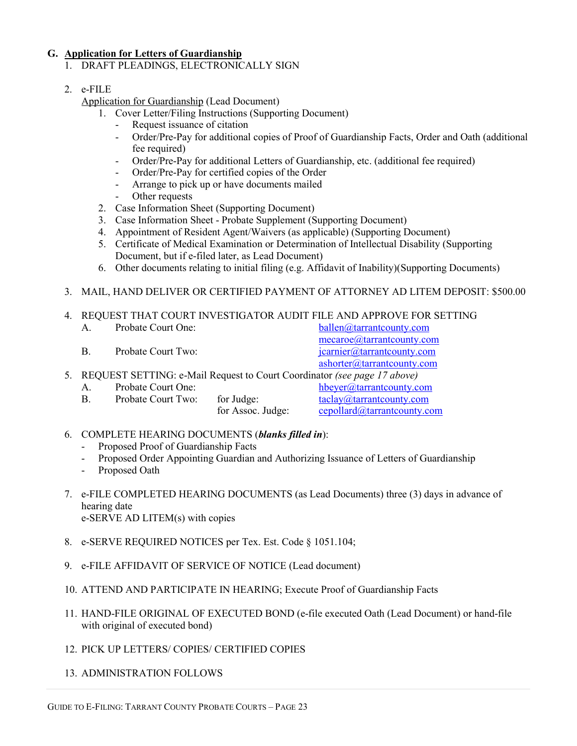#### **G. Application for Letters of Guardianship**

1. DRAFT PLEADINGS, ELECTRONICALLY SIGN

## 2. e-FILE

Application for Guardianship (Lead Document)

- 1. Cover Letter/Filing Instructions (Supporting Document)
	- Request issuance of citation
	- Order/Pre-Pay for additional copies of Proof of Guardianship Facts, Order and Oath (additional fee required)
	- Order/Pre-Pay for additional Letters of Guardianship, etc. (additional fee required)
	- Order/Pre-Pay for certified copies of the Order
	- Arrange to pick up or have documents mailed
	- Other requests
- 2. Case Information Sheet (Supporting Document)
- 3. Case Information Sheet Probate Supplement (Supporting Document)
- 4. Appointment of Resident Agent/Waivers (as applicable) (Supporting Document)
- 5. Certificate of Medical Examination or Determination of Intellectual Disability (Supporting Document, but if e-filed later, as Lead Document)
- 6. Other documents relating to initial filing (e.g. Affidavit of Inability)(Supporting Documents)
- 3. MAIL, HAND DELIVER OR CERTIFIED PAYMENT OF ATTORNEY AD LITEM DEPOSIT: \$500.00

|                     | 4. REQUEST THAT COURT INVESTIGATOR AUDIT FILE AND APPROVE FOR SETTING                                                                                                                                                                                                                                                                                                                                                                                     |
|---------------------|-----------------------------------------------------------------------------------------------------------------------------------------------------------------------------------------------------------------------------------------------------------------------------------------------------------------------------------------------------------------------------------------------------------------------------------------------------------|
| Duckate Court Ourse | $\frac{1}{2} \cdot \frac{1}{2} \cdot \frac{1}{2} \cdot \frac{1}{2} \cdot \frac{1}{2} \cdot \frac{1}{2} \cdot \frac{1}{2} \cdot \frac{1}{2} \cdot \frac{1}{2} \cdot \frac{1}{2} \cdot \frac{1}{2} \cdot \frac{1}{2} \cdot \frac{1}{2} \cdot \frac{1}{2} \cdot \frac{1}{2} \cdot \frac{1}{2} \cdot \frac{1}{2} \cdot \frac{1}{2} \cdot \frac{1}{2} \cdot \frac{1}{2} \cdot \frac{1}{2} \cdot \frac{1}{2} \cdot \frac{1}{2} \cdot \frac{1}{2} \cdot \frac{1$ |

| A.      | Probate Court One: |                   | ballen@tarrantcounty.com                                                                                  |
|---------|--------------------|-------------------|-----------------------------------------------------------------------------------------------------------|
| B.      | Probate Court Two: |                   | mecaroe@tarrantcounty.com<br>jcarnier@tarrantcounty.com                                                   |
|         |                    |                   | ashorter@tarrantcounty.com<br>5. REQUEST SETTING: e-Mail Request to Court Coordinator (see page 17 above) |
| $A_{-}$ | Probate Court One: |                   | hbeyer@tarrantcounty.com                                                                                  |
| В.      | Probate Court Two: | for Judge:        | taclay@:tarrantcounty.com                                                                                 |
|         |                    | for Assoc. Judge: | cepollard@tarrantcounty.com                                                                               |

- 6. COMPLETE HEARING DOCUMENTS (*blanks filled in*):
	- Proposed Proof of Guardianship Facts
	- Proposed Order Appointing Guardian and Authorizing Issuance of Letters of Guardianship
	- Proposed Oath
- 7. e-FILE COMPLETED HEARING DOCUMENTS (as Lead Documents) three (3) days in advance of hearing date e-SERVE AD LITEM(s) with copies
- 8. e-SERVE REQUIRED NOTICES per Tex. Est. Code § 1051.104;
- 9. e-FILE AFFIDAVIT OF SERVICE OF NOTICE (Lead document)
- 10. ATTEND AND PARTICIPATE IN HEARING; Execute Proof of Guardianship Facts
- 11. HAND-FILE ORIGINAL OF EXECUTED BOND (e-file executed Oath (Lead Document) or hand-file with original of executed bond)
- 12. PICK UP LETTERS/ COPIES/ CERTIFIED COPIES
- 13. ADMINISTRATION FOLLOWS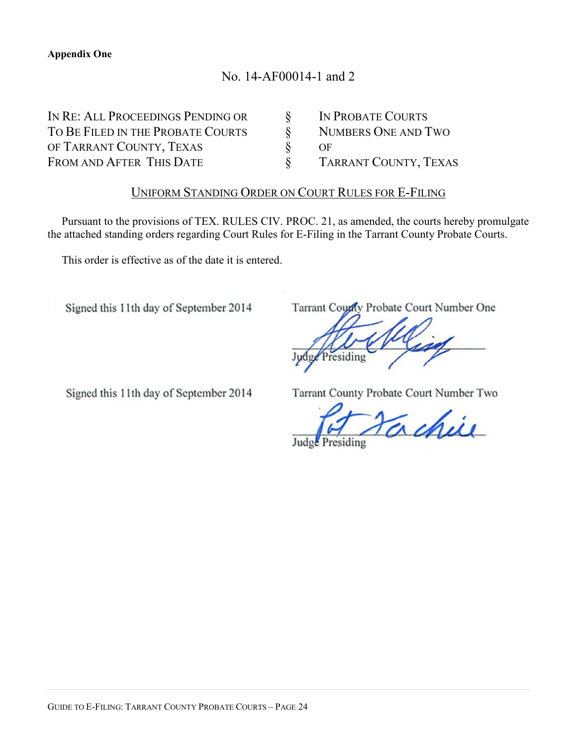# No. 14-AF00014-1 and 2

IN RE: ALL PROCEEDINGS PENDING OR  $\S$  IN PROBATE COURTS TO BE FILED IN THE PROBATE COURTS  $\S$  NUMBERS ONE AND TWO OF TARRANT COUNTY, TEXAS  $\S$  OF OF TARRANT COUNTY, TEXAS  $\S$  OF FROM AND AFTER THIS DATE  $\S$  TARRANT COUNTY, TEXAS

## UNIFORM STANDING ORDER ON COURT RULES FOR E-FILING

Pursuant to the provisions of TEX. RULES CIV. PROC. 21, as amended, the courts hereby promulgate the attached standing orders regarding Court Rules for E-Filing in the Tarrant County Probate Courts.

This order is effective as of the date it is entered.

Signed this 11th day of September 2014

Tarrant County Probate Court Number One

Signed this 11th day of September 2014

Tarrant County Probate Court Number Two

chie Judge Presiding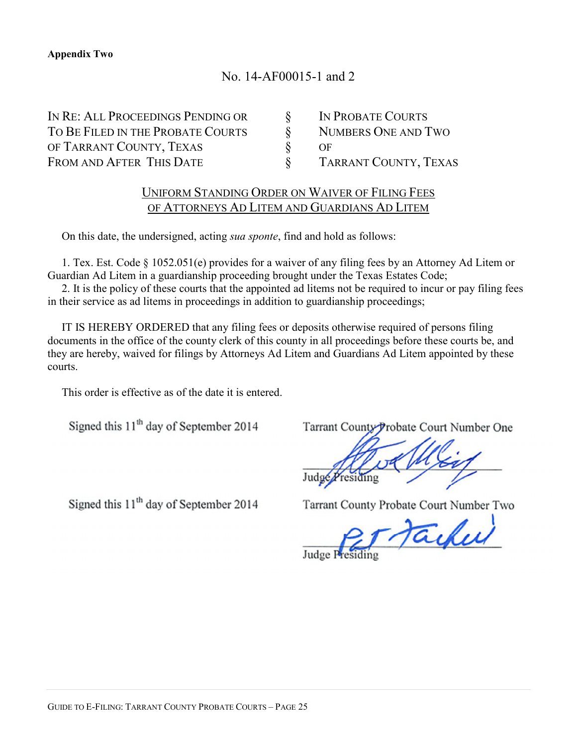# No. 14-AF00015-1 and 2

| IN RE: ALL PROCEEDINGS PENDING OR | IN PROBATE COURTS     |
|-----------------------------------|-----------------------|
| TO BE FILED IN THE PROBATE COURTS | NUMBERS ONE AND TWO   |
| OF TARRANT COUNTY, TEXAS          | OF                    |
| FROM AND AFTER THIS DATE          | TARRANT COUNTY, TEXAS |

# UNIFORM STANDING ORDER ON WAIVER OF FILING FEES OF ATTORNEYS AD LITEM AND GUARDIANS AD LITEM

On this date, the undersigned, acting *sua sponte*, find and hold as follows:

1. Tex. Est. Code § 1052.051(e) provides for a waiver of any filing fees by an Attorney Ad Litem or Guardian Ad Litem in a guardianship proceeding brought under the Texas Estates Code;

2. It is the policy of these courts that the appointed ad litems not be required to incur or pay filing fees in their service as ad litems in proceedings in addition to guardianship proceedings;

IT IS HEREBY ORDERED that any filing fees or deposits otherwise required of persons filing documents in the office of the county clerk of this county in all proceedings before these courts be, and they are hereby, waived for filings by Attorneys Ad Litem and Guardians Ad Litem appointed by these courts.

This order is effective as of the date it is entered.

Signed this 11<sup>th</sup> day of September 2014

Signed this 11<sup>th</sup> day of September 2014

Tarrant County Probate Court Number One

Tarrant County Probate Court Number Two

Tacked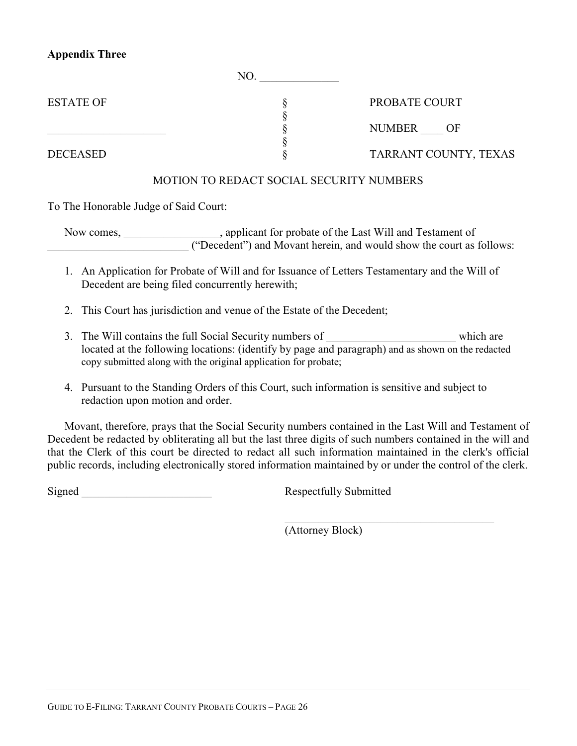## **Appendix Three**

| <b>ESTATE OF</b> | PROBATE COURT         |
|------------------|-----------------------|
|                  | NUMBER<br>– OF        |
| <b>DECEASED</b>  | TARRANT COUNTY, TEXAS |

## MOTION TO REDACT SOCIAL SECURITY NUMBERS

To The Honorable Judge of Said Court:

Now comes, \_\_\_\_\_\_\_\_\_\_\_\_\_\_\_\_\_, applicant for probate of the Last Will and Testament of \_\_\_\_\_\_\_\_\_\_\_\_\_\_\_\_\_\_\_\_\_\_\_\_\_ ("Decedent") and Movant herein, and would show the court as follows:

- 1. An Application for Probate of Will and for Issuance of Letters Testamentary and the Will of Decedent are being filed concurrently herewith;
- 2. This Court has jurisdiction and venue of the Estate of the Decedent;
- 3. The Will contains the full Social Security numbers of which are which are located at the following locations: (identify by page and paragraph) and as shown on the redacted copy submitted along with the original application for probate;
- 4. Pursuant to the Standing Orders of this Court, such information is sensitive and subject to redaction upon motion and order.

Movant, therefore, prays that the Social Security numbers contained in the Last Will and Testament of Decedent be redacted by obliterating all but the last three digits of such numbers contained in the will and that the Clerk of this court be directed to redact all such information maintained in the clerk's official public records, including electronically stored information maintained by or under the control of the clerk.

Signed **Signed** Respectfully Submitted

 $\mathcal{L}_\text{max}$  and  $\mathcal{L}_\text{max}$  and  $\mathcal{L}_\text{max}$  and  $\mathcal{L}_\text{max}$ 

(Attorney Block)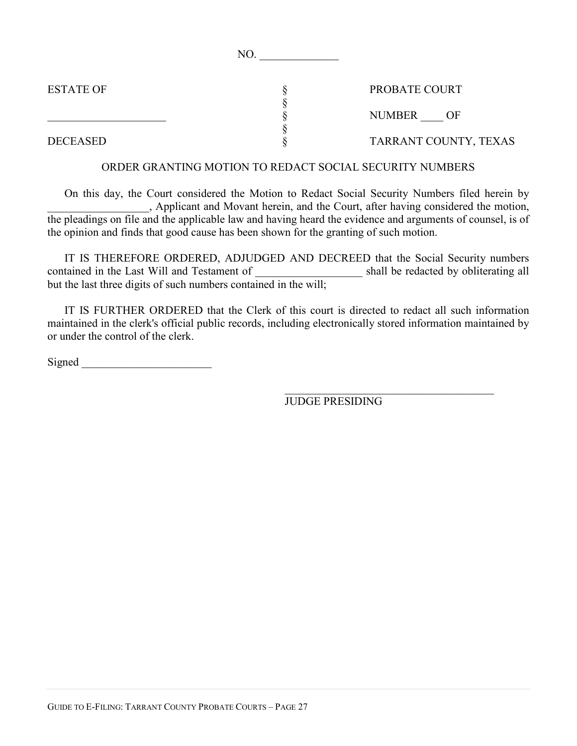| PROBATE COURT         |
|-----------------------|
|                       |
| <b>NUMBER</b><br>()F  |
| TARRANT COUNTY, TEXAS |
|                       |

NO.

## ORDER GRANTING MOTION TO REDACT SOCIAL SECURITY NUMBERS

On this day, the Court considered the Motion to Redact Social Security Numbers filed herein by \_\_\_\_\_\_\_\_\_\_\_\_\_\_\_\_\_\_, Applicant and Movant herein, and the Court, after having considered the motion, the pleadings on file and the applicable law and having heard the evidence and arguments of counsel, is of the opinion and finds that good cause has been shown for the granting of such motion.

IT IS THEREFORE ORDERED, ADJUDGED AND DECREED that the Social Security numbers contained in the Last Will and Testament of \_\_\_\_\_\_\_\_\_\_\_\_\_\_\_\_\_\_\_ shall be redacted by obliterating all but the last three digits of such numbers contained in the will;

IT IS FURTHER ORDERED that the Clerk of this court is directed to redact all such information maintained in the clerk's official public records, including electronically stored information maintained by or under the control of the clerk.

Signed \_\_\_\_\_\_\_\_\_\_\_\_\_\_\_\_\_\_\_\_\_\_\_

JUDGE PRESIDING

\_\_\_\_\_\_\_\_\_\_\_\_\_\_\_\_\_\_\_\_\_\_\_\_\_\_\_\_\_\_\_\_\_\_\_\_\_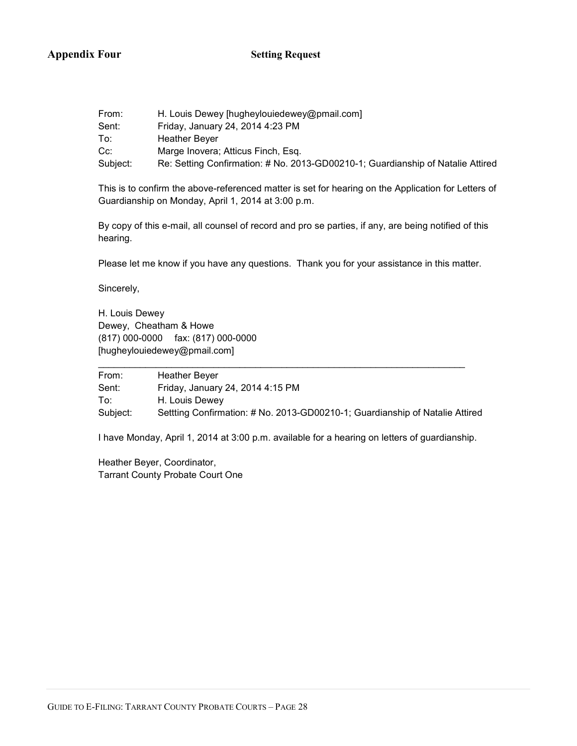## **Appendix Four Setting Request**

| From:    | H. Louis Dewey [hugheylouiedewey@pmail.com]                                     |
|----------|---------------------------------------------------------------------------------|
| Sent:    | Friday, January 24, 2014 4:23 PM                                                |
| To:      | <b>Heather Bever</b>                                                            |
| Cc:      | Marge Inovera; Atticus Finch, Esg.                                              |
| Subject: | Re: Setting Confirmation: # No. 2013-GD00210-1; Guardianship of Natalie Attired |

This is to confirm the above-referenced matter is set for hearing on the Application for Letters of Guardianship on Monday, April 1, 2014 at 3:00 p.m.

By copy of this e-mail, all counsel of record and pro se parties, if any, are being notified of this hearing.

Please let me know if you have any questions. Thank you for your assistance in this matter.

Sincerely,

H. Louis Dewey Dewey, Cheatham & Howe (817) 000-0000 fax: (817) 000-0000 [hugheylouiedewey@pmail.com]

From: Heather Beyer Sent: Friday, January 24, 2014 4:15 PM To: H. Louis Dewey Subject: Settting Confirmation: # No. 2013-GD00210-1; Guardianship of Natalie Attired

\_\_\_\_\_\_\_\_\_\_\_\_\_\_\_\_\_\_\_\_\_\_\_\_\_\_\_\_\_\_\_\_\_\_\_\_\_\_\_\_\_\_\_\_\_\_\_\_\_\_\_\_\_\_\_\_\_\_\_\_\_\_\_\_\_\_\_\_\_\_

I have Monday, April 1, 2014 at 3:00 p.m. available for a hearing on letters of guardianship.

Heather Beyer, Coordinator, Tarrant County Probate Court One